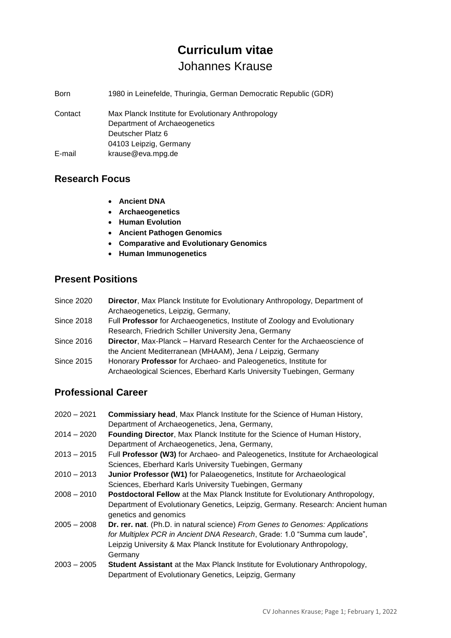# **Curriculum vitae**

## Johannes Krause

| <b>Born</b> | 1980 in Leinefelde, Thuringia, German Democratic Republic (GDR)                                                                    |
|-------------|------------------------------------------------------------------------------------------------------------------------------------|
| Contact     | Max Planck Institute for Evolutionary Anthropology<br>Department of Archaeogenetics<br>Deutscher Platz 6<br>04103 Leipzig, Germany |
| E-mail      | krause@eva.mpg.de                                                                                                                  |

### **Research Focus**

- **Ancient DNA**
- **Archaeogenetics**
- **Human Evolution**
- **Ancient Pathogen Genomics**
- **Comparative and Evolutionary Genomics**
- **Human Immunogenetics**

### **Present Positions**

| Since 2020 | <b>Director, Max Planck Institute for Evolutionary Anthropology, Department of</b> |
|------------|------------------------------------------------------------------------------------|
|            | Archaeogenetics, Leipzig, Germany,                                                 |
| Sinco 2019 | Full <b>Professor</b> for Archaeogenetics, Institute of Zeology and Evolutionary   |

- Since 2018 Full **Professor** for Archaeogenetics, Institute of Zoology and Evolutionary Research, Friedrich Schiller University Jena, Germany
- Since 2016 **Director**, Max-Planck Harvard Research Center for the Archaeoscience of the Ancient Mediterranean (MHAAM), Jena / Leipzig, Germany
- Since 2015 Honorary **Professor** for Archaeo- and Paleogenetics, Institute for Archaeological Sciences, Eberhard Karls University Tuebingen, Germany

### **Professional Career**

| $2020 - 2021$ | <b>Commissiary head, Max Planck Institute for the Science of Human History,</b>       |
|---------------|---------------------------------------------------------------------------------------|
|               | Department of Archaeogenetics, Jena, Germany,                                         |
| $2014 - 2020$ | <b>Founding Director, Max Planck Institute for the Science of Human History,</b>      |
|               | Department of Archaeogenetics, Jena, Germany,                                         |
| $2013 - 2015$ | Full Professor (W3) for Archaeo- and Paleogenetics, Institute for Archaeological      |
|               | Sciences, Eberhard Karls University Tuebingen, Germany                                |
| $2010 - 2013$ | Junior Professor (W1) for Palaeogenetics, Institute for Archaeological                |
|               | Sciences, Eberhard Karls University Tuebingen, Germany                                |
| $2008 - 2010$ | <b>Postdoctoral Fellow</b> at the Max Planck Institute for Evolutionary Anthropology, |
|               | Department of Evolutionary Genetics, Leipzig, Germany. Research: Ancient human        |
|               | genetics and genomics                                                                 |
| $2005 - 2008$ | <b>Dr. rer. nat.</b> (Ph.D. in natural science) From Genes to Genomes: Applications   |
|               | for Multiplex PCR in Ancient DNA Research, Grade: 1.0 "Summa cum laude",              |
|               | Leipzig University & Max Planck Institute for Evolutionary Anthropology,              |
|               | Germany                                                                               |
| $2003 - 2005$ | <b>Student Assistant at the Max Planck Institute for Evolutionary Anthropology,</b>   |
|               | Department of Evolutionary Genetics, Leipzig, Germany                                 |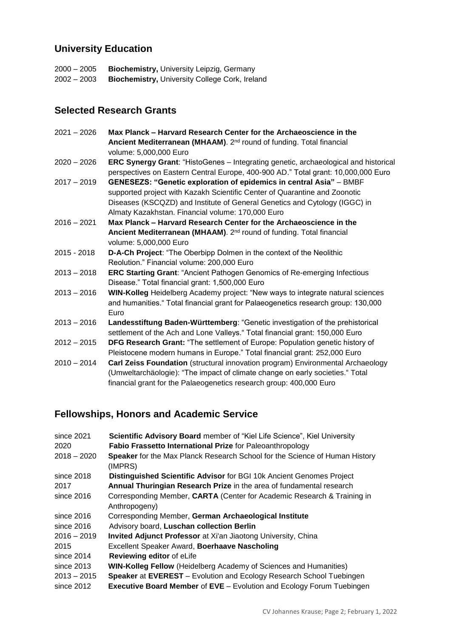## **University Education**

| $2000 - 2005$ | <b>Biochemistry, University Leipzig, Germany</b>      |
|---------------|-------------------------------------------------------|
| $2002 - 2003$ | <b>Biochemistry, University College Cork, Ireland</b> |

### **Selected Research Grants**

| $2021 - 2026$ | Max Planck - Harvard Research Center for the Archaeoscience in the                         |  |
|---------------|--------------------------------------------------------------------------------------------|--|
|               | Ancient Mediterranean (MHAAM). 2 <sup>nd</sup> round of funding. Total financial           |  |
|               | volume: 5,000,000 Euro                                                                     |  |
| $2020 - 2026$ | <b>ERC Synergy Grant: "HistoGenes - Integrating genetic, archaeological and historical</b> |  |
|               | perspectives on Eastern Central Europe, 400-900 AD." Total grant: 10,000,000 Euro          |  |
| $2017 - 2019$ | <b>GENESEZS: "Genetic exploration of epidemics in central Asia"</b> – BMBF                 |  |
|               | supported project with Kazakh Scientific Center of Quarantine and Zoonotic                 |  |
|               | Diseases (KSCQZD) and Institute of General Genetics and Cytology (IGGC) in                 |  |
|               | Almaty Kazakhstan. Financial volume: 170,000 Euro                                          |  |
| $2016 - 2021$ | Max Planck – Harvard Research Center for the Archaeoscience in the                         |  |
|               | Ancient Mediterranean (MHAAM). 2 <sup>nd</sup> round of funding. Total financial           |  |
|               | volume: 5,000,000 Euro                                                                     |  |
| 2015 - 2018   | D-A-Ch Project: "The Oberbipp Dolmen in the context of the Neolithic                       |  |
|               | Reolution." Financial volume: 200,000 Euro                                                 |  |
| $2013 - 2018$ | <b>ERC Starting Grant: "Ancient Pathogen Genomics of Re-emerging Infectious</b>            |  |
|               | Disease." Total financial grant: 1,500,000 Euro                                            |  |
| $2013 - 2016$ | WIN-Kolleg Heidelberg Academy project: "New ways to integrate natural sciences             |  |
|               | and humanities." Total financial grant for Palaeogenetics research group: 130,000          |  |
|               | Euro                                                                                       |  |
| $2013 - 2016$ | Landesstiftung Baden-Württemberg: "Genetic investigation of the prehistorical              |  |
|               | settlement of the Ach and Lone Valleys." Total financial grant: 150,000 Euro               |  |
| $2012 - 2015$ | <b>DFG Research Grant: "The settlement of Europe: Population genetic history of</b>        |  |
|               | Pleistocene modern humans in Europe." Total financial grant: 252,000 Euro                  |  |
| $2010 - 2014$ | Carl Zeiss Foundation (structural innovation program) Environmental Archaeology            |  |
|               | (Umweltarchäologie): "The impact of climate change on early societies." Total              |  |
|               | financial grant for the Palaeogenetics research group: 400,000 Euro                        |  |

## **Fellowships, Honors and Academic Service**

| since 2021<br>2020 | Scientific Advisory Board member of "Kiel Life Science", Kiel University<br>Fabio Frassetto International Prize for Paleoanthropology |
|--------------------|---------------------------------------------------------------------------------------------------------------------------------------|
| $2018 - 2020$      | Speaker for the Max Planck Research School for the Science of Human History<br>(IMPRS)                                                |
| since 2018         | <b>Distinguished Scientific Advisor for BGI 10k Ancient Genomes Project</b>                                                           |
| 2017               | Annual Thuringian Research Prize in the area of fundamental research                                                                  |
| since 2016         | Corresponding Member, CARTA (Center for Academic Research & Training in                                                               |
|                    | Anthropogeny)                                                                                                                         |
| since 2016         | Corresponding Member, German Archaeological Institute                                                                                 |
| since 2016         | Advisory board, Luschan collection Berlin                                                                                             |
| $2016 - 2019$      | <b>Invited Adjunct Professor at Xi'an Jiaotong University, China</b>                                                                  |
| 2015               | <b>Excellent Speaker Award, Boerhaave Nascholing</b>                                                                                  |
| since 2014         | Reviewing editor of eLife                                                                                                             |
| since 2013         | <b>WIN-Kolleg Fellow</b> (Heidelberg Academy of Sciences and Humanities)                                                              |
| $2013 - 2015$      | Speaker at EVEREST - Evolution and Ecology Research School Tuebingen                                                                  |
| since 2012         | <b>Executive Board Member of EVE - Evolution and Ecology Forum Tuebingen</b>                                                          |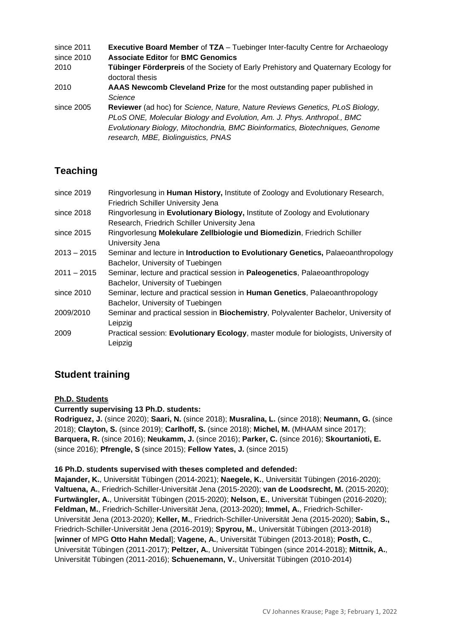| since 2011 | <b>Executive Board Member of TZA - Tuebinger Inter-faculty Centre for Archaeology</b>                                                                                                                                                                                            |
|------------|----------------------------------------------------------------------------------------------------------------------------------------------------------------------------------------------------------------------------------------------------------------------------------|
| since 2010 | <b>Associate Editor for BMC Genomics</b>                                                                                                                                                                                                                                         |
| 2010       | Tübinger Förderpreis of the Society of Early Prehistory and Quaternary Ecology for<br>doctoral thesis                                                                                                                                                                            |
| 2010       | AAAS Newcomb Cleveland Prize for the most outstanding paper published in<br>Science                                                                                                                                                                                              |
| since 2005 | Reviewer (ad hoc) for Science, Nature, Nature Reviews Genetics, PLoS Biology,<br>PLoS ONE, Molecular Biology and Evolution, Am. J. Phys. Anthropol., BMC<br>Evolutionary Biology, Mitochondria, BMC Bioinformatics, Biotechniques, Genome<br>research, MBE, Biolinguistics, PNAS |

### **Teaching**

| since 2019    | Ringvorlesung in Human History, Institute of Zoology and Evolutionary Research,             |
|---------------|---------------------------------------------------------------------------------------------|
|               | Friedrich Schiller University Jena                                                          |
| since 2018    | Ringvorlesung in Evolutionary Biology, Institute of Zoology and Evolutionary                |
|               | Research, Friedrich Schiller University Jena                                                |
| since 2015    | Ringvorlesung Molekulare Zellbiologie und Biomedizin, Friedrich Schiller<br>University Jena |
| $2013 - 2015$ | Seminar and lecture in Introduction to Evolutionary Genetics, Palaeoanthropology            |
|               | Bachelor, University of Tuebingen                                                           |
| $2011 - 2015$ | Seminar, lecture and practical session in Paleogenetics, Palaeoanthropology                 |
|               | Bachelor, University of Tuebingen                                                           |
| since $2010$  | Seminar, lecture and practical session in Human Genetics, Palaeoanthropology                |
|               | Bachelor, University of Tuebingen                                                           |
| 2009/2010     | Seminar and practical session in <b>Biochemistry</b> , Polyvalenter Bachelor, University of |
|               | Leipzig                                                                                     |
| 2009          | Practical session: Evolutionary Ecology, master module for biologists, University of        |
|               | Leipzig                                                                                     |

### **Student training**

### **Ph.D. Students**

### **Currently supervising 13 Ph.D. students:**

**Rodriguez, J.** (since 2020); **Saari, N.** (since 2018); **Musralina, L.** (since 2018); **Neumann, G.** (since 2018); **Clayton, S.** (since 2019); **Carlhoff, S.** (since 2018); **Michel, M.** (MHAAM since 2017); **Barquera, R.** (since 2016); **Neukamm, J.** (since 2016); **Parker, C.** (since 2016); **Skourtanioti, E.** (since 2016); **Pfrengle, S** (since 2015); **Fellow Yates, J.** (since 2015)

### **16 Ph.D. students supervised with theses completed and defended:**

**Majander, K.**, Universität Tübingen (2014-2021); **Naegele, K.**, Universität Tübingen (2016-2020); **Valtuena, A.**, Friedrich-Schiller-Universität Jena (2015-2020); **van de Loodsrecht, M.** (2015-2020); **Furtwängler, A.**, Universität Tübingen (2015-2020); **Nelson, E.**, Universität Tübingen (2016-2020); **Feldman, M.**, Friedrich-Schiller-Universität Jena, (2013-2020); **Immel, A.**, Friedrich-Schiller-Universität Jena (2013-2020); **Keller, M.**, Friedrich-Schiller-Universität Jena (2015-2020); **Sabin, S.,** Friedrich-Schiller-Universität Jena (2016-2019); **Spyrou, M.**, Universität Tübingen (2013-2018) [**winner** of MPG **Otto Hahn Medal**]; **Vagene, A.**, Universität Tübingen (2013-2018); **Posth, C.**, Universität Tübingen (2011-2017); **Peltzer, A.**, Universität Tübingen (since 2014-2018); **Mittnik, A.**, Universität Tübingen (2011-2016); **Schuenemann, V.**, Universität Tübingen (2010-2014)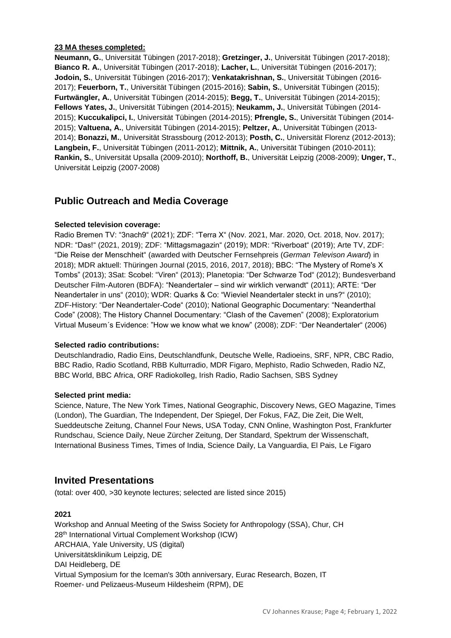### **23 MA theses completed:**

**Neumann, G.**, Universität Tübingen (2017-2018); **Gretzinger, J.**, Universität Tübingen (2017-2018); **Bianco R. A.**, Universität Tübingen (2017-2018); **Lacher, L.**, Universität Tübingen (2016-2017); **Jodoin, S.**, Universität Tübingen (2016-2017); **Venkatakrishnan, S.**, Universität Tübingen (2016- 2017); **Feuerborn, T.**, Universität Tübingen (2015-2016); **Sabin, S.**, Universität Tübingen (2015); **Furtwängler, A.**, Universität Tübingen (2014-2015); **Begg, T.**, Universität Tübingen (2014-2015); **Fellows Yates, J.**, Universität Tübingen (2014-2015); **Neukamm, J.**, Universität Tübingen (2014- 2015); **Kuccukalipci, I.**, Universität Tübingen (2014-2015); **Pfrengle, S.**, Universität Tübingen (2014- 2015); **Valtuena, A.**, Universität Tübingen (2014-2015); **Peltzer, A.**, Universität Tübingen (2013- 2014); **Bonazzi, M.**, Universität Strassbourg (2012-2013); **Posth, C.**, Universität Florenz (2012-2013); **Langbein, F.**, Universität Tübingen (2011-2012); **Mittnik, A.**, Universität Tübingen (2010-2011); **Rankin, S.**, Universität Upsalla (2009-2010); **Northoff, B.**, Universität Leipzig (2008-2009); **Unger, T.**, Universität Leipzig (2007-2008)

### **Public Outreach and Media Coverage**

### **Selected television coverage:**

Radio Bremen TV: "3nach9" (2021); ZDF: "Terra X" (Nov. 2021, Mar. 2020, Oct. 2018, Nov. 2017); NDR: "Das!" (2021, 2019); ZDF: "Mittagsmagazin" (2019); MDR: "Riverboat" (2019); Arte TV, ZDF: "Die Reise der Menschheit" (awarded with Deutscher Fernsehpreis (*German Televison Award*) in 2018); MDR aktuell: Thüringen Journal (2015, 2016, 2017, 2018); BBC: "The Mystery of Rome's X Tombs" (2013); 3Sat: Scobel: "Viren" (2013); Planetopia: "Der Schwarze Tod" (2012); Bundesverband Deutscher Film-Autoren (BDFA): "Neandertaler – sind wir wirklich verwandt" (2011); ARTE: "Der Neandertaler in uns" (2010); WDR: Quarks & Co: "Wieviel Neandertaler steckt in uns?" (2010); ZDF-History: "Der Neandertaler-Code" (2010); National Geographic Documentary: "Neanderthal Code" (2008); The History Channel Documentary: "Clash of the Cavemen" (2008); Exploratorium Virtual Museum´s Evidence: "How we know what we know" (2008); ZDF: "Der Neandertaler" (2006)

### **Selected radio contributions:**

Deutschlandradio, Radio Eins, Deutschlandfunk, Deutsche Welle, Radioeins, SRF, NPR, CBC Radio, BBC Radio, Radio Scotland, RBB Kulturradio, MDR Figaro, Mephisto, Radio Schweden, Radio NZ, BBC World, BBC Africa, ORF Radiokolleg, Irish Radio, Radio Sachsen, SBS Sydney

### **Selected print media:**

Science, Nature, The New York Times, National Geographic, Discovery News, GEO Magazine, Times (London), The Guardian, The Independent, Der Spiegel, Der Fokus, FAZ, Die Zeit, Die Welt, Sueddeutsche Zeitung, Channel Four News, USA Today, CNN Online, Washington Post, Frankfurter Rundschau, Science Daily, Neue Zürcher Zeitung, Der Standard, Spektrum der Wissenschaft, International Business Times, Times of India, Science Daily, La Vanguardia, El Pais, Le Figaro

### **Invited Presentations**

(total: over 400, >30 keynote lectures; selected are listed since 2015)

### **2021**

Workshop and Annual Meeting of the Swiss Society for Anthropology (SSA), Chur, CH 28th International Virtual Complement Workshop (ICW) ARCHAIA, Yale University, US (digital) Universitätsklinikum Leipzig, DE DAI Heidleberg, DE Virtual Symposium for the Iceman's 30th anniversary, Eurac Research, Bozen, IT Roemer- und Pelizaeus-Museum Hildesheim (RPM), DE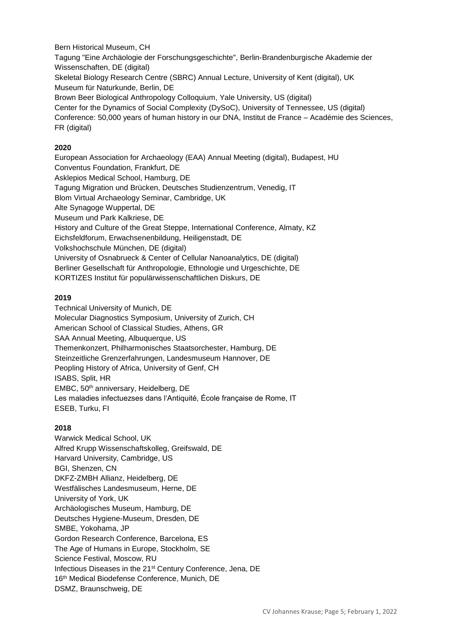Bern Historical Museum, CH Tagung "Eine Archäologie der Forschungsgeschichte", Berlin-Brandenburgische Akademie der Wissenschaften, DE (digital) Skeletal Biology Research Centre (SBRC) Annual Lecture, University of Kent (digital), UK Museum für Naturkunde, Berlin, DE Brown Beer Biological Anthropology Colloquium, Yale University, US (digital) Center for the Dynamics of Social Complexity (DySoC), University of Tennessee, US (digital) Conference: 50,000 years of human history in our DNA, Institut de France – Académie des Sciences, FR (digital)

### **2020**

European Association for Archaeology (EAA) Annual Meeting (digital), Budapest, HU Conventus Foundation, Frankfurt, DE Asklepios Medical School, Hamburg, DE Tagung Migration und Brücken, Deutsches Studienzentrum, Venedig, IT Blom Virtual Archaeology Seminar, Cambridge, UK Alte Synagoge Wuppertal, DE Museum und Park Kalkriese, DE History and Culture of the Great Steppe, International Conference, Almaty, KZ Eichsfeldforum, Erwachsenenbildung, Heiligenstadt, DE Volkshochschule München, DE (digital) University of Osnabrueck & Center of Cellular Nanoanalytics, DE (digital) Berliner Gesellschaft für Anthropologie, Ethnologie und Urgeschichte, DE KORTIZES Institut für populärwissenschaftlichen Diskurs, DE

### **2019**

Technical University of Munich, DE Molecular Diagnostics Symposium, University of Zurich, CH American School of Classical Studies, Athens, GR SAA Annual Meeting, Albuquerque, US Themenkonzert, Philharmonisches Staatsorchester, Hamburg, DE Steinzeitliche Grenzerfahrungen, Landesmuseum Hannover, DE Peopling History of Africa, University of Genf, CH ISABS, Split, HR EMBC, 50<sup>th</sup> anniversary, Heidelberg, DE Les maladies infectuezses dans l'Antiquité, École française de Rome, IT ESEB, Turku, FI

### **2018**

Warwick Medical School, UK Alfred Krupp Wissenschaftskolleg, Greifswald, DE Harvard University, Cambridge, US BGI, Shenzen, CN DKFZ-ZMBH Allianz, Heidelberg, DE Westfälisches Landesmuseum, Herne, DE University of York, UK Archäologisches Museum, Hamburg, DE Deutsches Hygiene-Museum, Dresden, DE SMBE, Yokohama, JP Gordon Research Conference, Barcelona, ES The Age of Humans in Europe, Stockholm, SE Science Festival, Moscow, RU Infectious Diseases in the 21st Century Conference, Jena, DE 16th Medical Biodefense Conference, Munich, DE DSMZ, Braunschweig, DE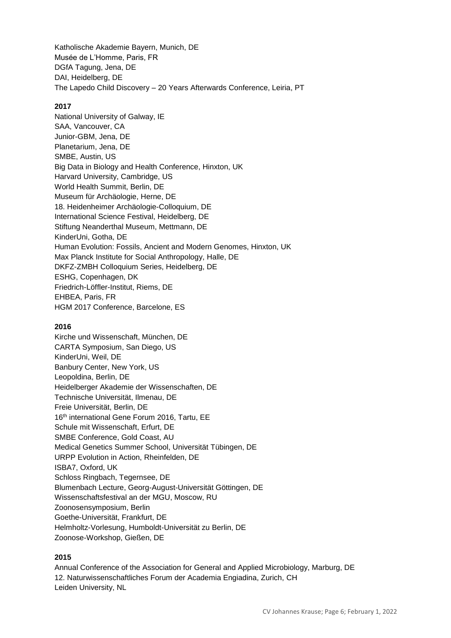Katholische Akademie Bayern, Munich, DE Musée de L'Homme, Paris, FR DGfA Tagung, Jena, DE DAI, Heidelberg, DE The Lapedo Child Discovery – 20 Years Afterwards Conference, Leiria, PT

### **2017**

National University of Galway, IE SAA, Vancouver, CA Junior-GBM, Jena, DE Planetarium, Jena, DE SMBE, Austin, US Big Data in Biology and Health Conference, Hinxton, UK Harvard University, Cambridge, US World Health Summit, Berlin, DE Museum für Archäologie, Herne, DE 18. Heidenheimer Archäologie-Colloquium, DE International Science Festival, Heidelberg, DE Stiftung Neanderthal Museum, Mettmann, DE KinderUni, Gotha, DE Human Evolution: Fossils, Ancient and Modern Genomes, Hinxton, UK Max Planck Institute for Social Anthropology, Halle, DE DKFZ-ZMBH Colloquium Series, Heidelberg, DE ESHG, Copenhagen, DK Friedrich-Löffler-Institut, Riems, DE EHBEA, Paris, FR HGM 2017 Conference, Barcelone, ES

### **2016**

Kirche und Wissenschaft, München, DE CARTA Symposium, San Diego, US KinderUni, Weil, DE Banbury Center, New York, US Leopoldina, Berlin, DE Heidelberger Akademie der Wissenschaften, DE Technische Universität, Ilmenau, DE Freie Universität, Berlin, DE 16<sup>th</sup> international Gene Forum 2016, Tartu, EE Schule mit Wissenschaft, Erfurt, DE SMBE Conference, Gold Coast, AU Medical Genetics Summer School, Universität Tübingen, DE URPP Evolution in Action, Rheinfelden, DE ISBA7, Oxford, UK Schloss Ringbach, Tegernsee, DE Blumenbach Lecture, Georg-August-Universität Göttingen, DE Wissenschaftsfestival an der MGU, Moscow, RU Zoonosensymposium, Berlin Goethe-Universität, Frankfurt, DE Helmholtz-Vorlesung, Humboldt-Universität zu Berlin, DE Zoonose-Workshop, Gießen, DE

### **2015**

Annual Conference of the Association for General and Applied Microbiology, Marburg, DE 12. Naturwissenschaftliches Forum der Academia Engiadina, Zurich, CH Leiden University, NL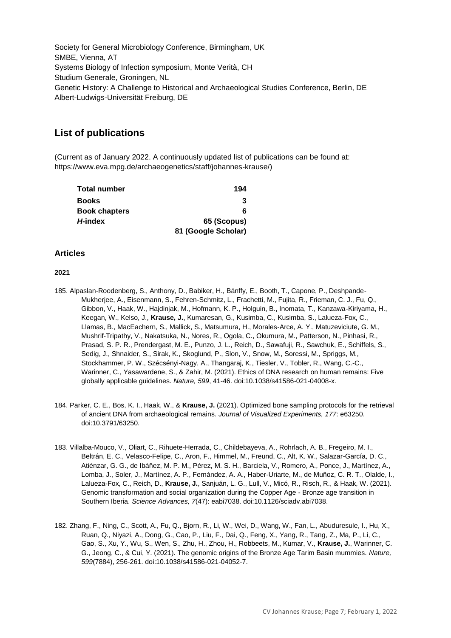Society for General Microbiology Conference, Birmingham, UK SMBE, Vienna, AT Systems Biology of Infection symposium, Monte Verità, CH Studium Generale, Groningen, NL Genetic History: A Challenge to Historical and Archaeological Studies Conference, Berlin, DE Albert-Ludwigs-Universität Freiburg, DE

### **List of publications**

(Current as of January 2022. A continuously updated list of publications can be found at: https://www.eva.mpg.de/archaeogenetics/staff/johannes-krause/)

| <b>Total number</b>  | 194                 |
|----------------------|---------------------|
| <b>Books</b>         | 3                   |
| <b>Book chapters</b> | 6                   |
| H-index              | 65 (Scopus)         |
|                      | 81 (Google Scholar) |

### **Articles**

- 185. Alpaslan-Roodenberg, S., Anthony, D., Babiker, H., Bánffy, E., Booth, T., Capone, P., Deshpande-Mukherjee, A., Eisenmann, S., Fehren-Schmitz, L., Frachetti, M., Fujita, R., Frieman, C. J., Fu, Q., Gibbon, V., Haak, W., Hajdinjak, M., Hofmann, K. P., Holguin, B., Inomata, T., Kanzawa-Kiriyama, H., Keegan, W., Kelso, J., **Krause, J.**, Kumaresan, G., Kusimba, C., Kusimba, S., Lalueza-Fox, C., Llamas, B., MacEachern, S., Mallick, S., Matsumura, H., Morales-Arce, A. Y., Matuzeviciute, G. M., Mushrif-Tripathy, V., Nakatsuka, N., Nores, R., Ogola, C., Okumura, M., Patterson, N., Pinhasi, R., Prasad, S. P. R., Prendergast, M. E., Punzo, J. L., Reich, D., Sawafuji, R., Sawchuk, E., Schiffels, S., Sedig, J., Shnaider, S., Sirak, K., Skoglund, P., Slon, V., Snow, M., Soressi, M., Spriggs, M., Stockhammer, P. W., Szécsényi-Nagy, A., Thangaraj, K., Tiesler, V., Tobler, R., Wang, C.-C., Warinner, C., Yasawardene, S., & Zahir, M. (2021). Ethics of DNA research on human remains: Five globally applicable guidelines. *Nature, 599*, 41-46. doi:10.1038/s41586-021-04008-x.
- 184. Parker, C. E., Bos, K. I., Haak, W., & **Krause, J.** (2021). Optimized bone sampling protocols for the retrieval of ancient DNA from archaeological remains. *Journal of Visualized Experiments, 177*: e63250. doi:10.3791/63250.
- 183. Villalba-Mouco, V., Oliart, C., Rihuete-Herrada, C., Childebayeva, A., Rohrlach, A. B., Fregeiro, M. I., Beltrán, E. C., Velasco-Felipe, C., Aron, F., Himmel, M., Freund, C., Alt, K. W., Salazar-García, D. C., Atiénzar, G. G., de Ibáñez, M. P. M., Pérez, M. S. H., Barciela, V., Romero, A., Ponce, J., Martínez, A., Lomba, J., Soler, J., Martínez, A. P., Fernández, A. A., Haber-Uriarte, M., de Muñoz, C. R. T., Olalde, I., Lalueza-Fox, C., Reich, D., **Krause, J.**, Sanjuán, L. G., Lull, V., Micó, R., Risch, R., & Haak, W. (2021). Genomic transformation and social organization during the Copper Age - Bronze age transition in Southern Iberia. *Science Advances, 7*(47): eabi7038. doi:10.1126/sciadv.abi7038.
- 182. Zhang, F., Ning, C., Scott, A., Fu, Q., Bjorn, R., Li, W., Wei, D., Wang, W., Fan, L., Abuduresule, I., Hu, X., Ruan, Q., Niyazi, A., Dong, G., Cao, P., Liu, F., Dai, Q., Feng, X., Yang, R., Tang, Z., Ma, P., Li, C., Gao, S., Xu, Y., Wu, S., Wen, S., Zhu, H., Zhou, H., Robbeets, M., Kumar, V., **Krause, J.**, Warinner, C. G., Jeong, C., & Cui, Y. (2021). The genomic origins of the Bronze Age Tarim Basin mummies. *Nature, 599*(7884), 256-261. doi:10.1038/s41586-021-04052-7.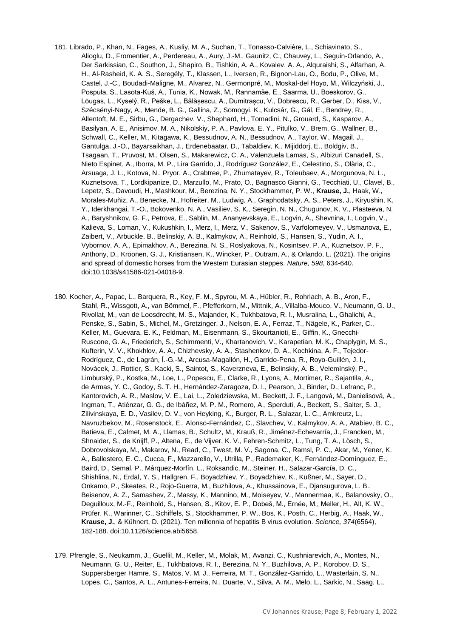- 181. Librado, P., Khan, N., Fages, A., Kusliy, M. A., Suchan, T., Tonasso-Calvière, L., Schiavinato, S., Alioglu, D., Fromentier, A., Perdereau, A., Aury, J.-M., Gaunitz, C., Chauvey, L., Seguin-Orlando, A., Der Sarkissian, C., Southon, J., Shapiro, B., Tishkin, A. A., Kovalev, A. A., Alquraishi, S., Alfarhan, A. H., Al-Rasheid, K. A. S., Seregély, T., Klassen, L., Iversen, R., Bignon-Lau, O., Bodu, P., Olive, M., Castel, J.-C., Boudadi-Maligne, M., Alvarez, N., Germonpré, M., Moskal-del Hoyo, M., Wilczyński, J., Pospuła, S., Lasota-Kuś, A., Tunia, K., Nowak, M., Rannamäe, E., Saarma, U., Boeskorov, G., Lōugas, L., Kyselý, R., Peške, L., Bălășescu, A., Dumitrașcu, V., Dobrescu, R., Gerber, D., Kiss, V., Szécsényi-Nagy, A., Mende, B. G., Gallina, Z., Somogyi, K., Kulcsár, G., Gál, E., Bendrey, R., Allentoft, M. E., Sirbu, G., Dergachev, V., Shephard, H., Tomadini, N., Grouard, S., Kasparov, A., Basilyan, A. E., Anisimov, M. A., Nikolskiy, P. A., Pavlova, E. Y., Pitulko, V., Brem, G., Wallner, B., Schwall, C., Keller, M., Kitagawa, K., Bessudnov, A. N., Bessudnov, A., Taylor, W., Magail, J., Gantulga, J.-O., Bayarsaikhan, J., Erdenebaatar, D., Tabaldiev, K., Mijiddorj, E., Boldgiv, B., Tsagaan, T., Pruvost, M., Olsen, S., Makarewicz, C. A., Valenzuela Lamas, S., Albizuri Canadell, S., Nieto Espinet, A., Iborra, M. P., Lira Garrido, J., Rodríguez González, E., Celestino, S., Olària, C., Arsuaga, J. L., Kotova, N., Pryor, A., Crabtree, P., Zhumatayev, R., Toleubaev, A., Morgunova, N. L., Kuznetsova, T., Lordkipanize, D., Marzullo, M., Prato, O., Bagnasco Gianni, G., Tecchiati, U., Clavel, B., Lepetz, S., Davoudi, H., Mashkour, M., Berezina, N. Y., Stockhammer, P. W., **Krause, J.**, Haak, W., Morales-Muñiz, A., Benecke, N., Hofreiter, M., Ludwig, A., Graphodatsky, A. S., Peters, J., Kiryushin, K. Y., Iderkhangai, T.-O., Bokovenko, N. A., Vasiliev, S. K., Seregin, N. N., Chugunov, K. V., Plasteeva, N. A., Baryshnikov, G. F., Petrova, E., Sablin, M., Ananyevskaya, E., Logvin, A., Shevnina, I., Logvin, V., Kalieva, S., Loman, V., Kukushkin, I., Merz, I., Merz, V., Sakenov, S., Varfolomeyev, V., Usmanova, E., Zaibert, V., Arbuckle, B., Belinskiy, A. B., Kalmykov, A., Reinhold, S., Hansen, S., Yudin, A. I., Vybornov, A. A., Epimakhov, A., Berezina, N. S., Roslyakova, N., Kosintsev, P. A., Kuznetsov, P. F., Anthony, D., Kroonen, G. J., Kristiansen, K., Wincker, P., Outram, A., & Orlando, L. (2021). The origins and spread of domestic horses from the Western Eurasian steppes. *Nature, 598*, 634-640. doi:10.1038/s41586-021-04018-9.
- 180. Kocher, A., Papac, L., Barquera, R., Key, F. M., Spyrou, M. A., Hübler, R., Rohrlach, A. B., Aron, F., Stahl, R., Wissgott, A., van Bömmel, F., Pfefferkorn, M., Mittnik, A., Villalba-Mouco, V., Neumann, G. U., Rivollat, M., van de Loosdrecht, M. S., Majander, K., Tukhbatova, R. I., Musralina, L., Ghalichi, A., Penske, S., Sabin, S., Michel, M., Gretzinger, J., Nelson, E. A., Ferraz, T., Nägele, K., Parker, C., Keller, M., Guevara, E. K., Feldman, M., Eisenmann, S., Skourtanioti, E., Giffin, K., Gnecchi-Ruscone, G. A., Friederich, S., Schimmenti, V., Khartanovich, V., Karapetian, M. K., Chaplygin, M. S., Kufterin, V. V., Khokhlov, A. A., Chizhevsky, A. A., Stashenkov, D. A., Kochkina, A. F., Tejedor-Rodríguez, C., de Lagrán, Í.-G.-M., Arcusa-Magallón, H., Garrido-Pena, R., Royo-Guillén, J. I., Novácek, J., Rottier, S., Kacki, S., Saintot, S., Kaverzneva, E., Belinskiy, A. B., Velemínský, P., Limburský, P., Kostka, M., Loe, L., Popescu, E., Clarke, R., Lyons, A., Mortimer, R., Sajantila, A., de Armas, Y. C., Godoy, S. T. H., Hernández-Zaragoza, D. I., Pearson, J., Binder, D., Lefranc, P., Kantorovich, A. R., Maslov, V. E., Lai, L., Zoledziewska, M., Beckett, J. F., Langová, M., Danielisová, A., Ingman, T., Atiénzar, G. G., de Ibáñez, M. P. M., Romero, A., Sperduti, A., Beckett, S., Salter, S. J., Zilivinskaya, E. D., Vasilev, D. V., von Heyking, K., Burger, R. L., Salazar, L. C., Amkreutz, L., Navruzbekov, M., Rosenstock, E., Alonso-Fernández, C., Slavchev, V., Kalmykov, A. A., Atabiev, B. C., Batieva, E., Calmet, M. A., Llamas, B., Schultz, M., Krauß, R., Jiménez-Echevarría, J., Francken, M., Shnaider, S., de Knijff, P., Altena, E., de Vijver, K. V., Fehren-Schmitz, L., Tung, T. A., Lösch, S., Dobrovolskaya, M., Makarov, N., Read, C., Twest, M. V., Sagona, C., Ramsl, P. C., Akar, M., Yener, K. A., Ballestero, E. C., Cucca, F., Mazzarello, V., Utrilla, P., Rademaker, K., Fernández-Domínguez, E., Baird, D., Semal, P., Márquez-Morfín, L., Roksandic, M., Steiner, H., Salazar-García, D. C., Shishlina, N., Erdal, Y. S., Hallgren, F., Boyadzhiev, Y., Boyadzhiev, K., Küßner, M., Sayer, D., Onkamo, P., Skeates, R., Rojo-Guerra, M., Buzhilova, A., Khussainova, E., Djansugurova, L. B., Beisenov, A. Z., Samashev, Z., Massy, K., Mannino, M., Moiseyev, V., Mannermaa, K., Balanovsky, O., Deguilloux, M.-F., Reinhold, S., Hansen, S., Kitov, E. P., Dobeš, M., Ernée, M., Meller, H., Alt, K. W., Prüfer, K., Warinner, C., Schiffels, S., Stockhammer, P. W., Bos, K., Posth, C., Herbig, A., Haak, W., **Krause, J.**, & Kühnert, D. (2021). Ten millennia of hepatitis B virus evolution. *Science, 374*(6564), 182-188. doi:10.1126/science.abi5658.
- 179. Pfrengle, S., Neukamm, J., Guellil, M., Keller, M., Molak, M., Avanzi, C., Kushniarevich, A., Montes, N., Neumann, G. U., Reiter, E., Tukhbatova, R. I., Berezina, N. Y., Buzhilova, A. P., Korobov, D. S., Suppersberger Hamre, S., Matos, V. M. J., Ferreira, M. T., González-Garrido, L., Wasterlain, S. N., Lopes, C., Santos, A. L., Antunes-Ferreira, N., Duarte, V., Silva, A. M., Melo, L., Sarkic, N., Saag, L.,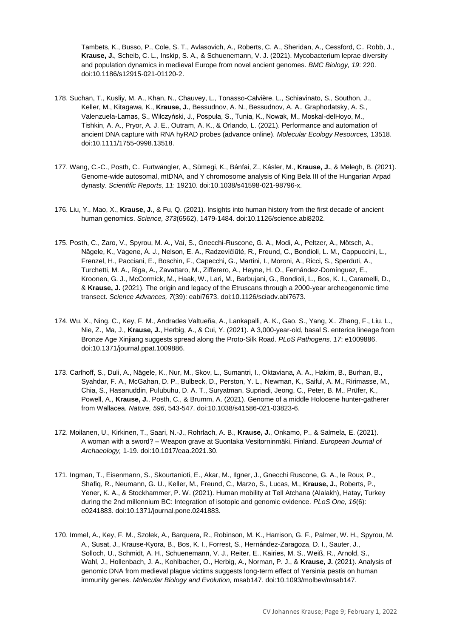Tambets, K., Busso, P., Cole, S. T., Avlasovich, A., Roberts, C. A., Sheridan, A., Cessford, C., Robb, J., **Krause, J.**, Scheib, C. L., Inskip, S. A., & Schuenemann, V. J. (2021). Mycobacterium leprae diversity and population dynamics in medieval Europe from novel ancient genomes. *BMC Biology, 19*: 220. doi:10.1186/s12915-021-01120-2.

- 178. Suchan, T., Kusliy, M. A., Khan, N., Chauvey, L., Tonasso-Calvière, L., Schiavinato, S., Southon, J., Keller, M., Kitagawa, K., **Krause, J.**, Bessudnov, A. N., Bessudnov, A. A., Graphodatsky, A. S., Valenzuela-Lamas, S., Wilczyński, J., Pospuła, S., Tunia, K., Nowak, M., Moskal-delHoyo, M., Tishkin, A. A., Pryor, A. J. E., Outram, A. K., & Orlando, L. (2021). Performance and automation of ancient DNA capture with RNA hyRAD probes (advance online). *Molecular Ecology Resources,* 13518. doi:10.1111/1755-0998.13518.
- 177. Wang, C.-C., Posth, C., Furtwängler, A., Sümegi, K., Bánfai, Z., Kásler, M., **Krause, J.**, & Melegh, B. (2021). Genome-wide autosomal, mtDNA, and Y chromosome analysis of King Bela III of the Hungarian Arpad dynasty. *Scientific Reports, 11*: 19210. doi:10.1038/s41598-021-98796-x.
- 176. Liu, Y., Mao, X., **Krause, J.**, & Fu, Q. (2021). Insights into human history from the first decade of ancient human genomics. *Science, 373*(6562), 1479-1484. doi:10.1126/science.abi8202.
- 175. Posth, C., Zaro, V., Spyrou, M. A., Vai, S., Gnecchi-Ruscone, G. A., Modi, A., Peltzer, A., Mötsch, A., Nägele, K., Vågene, Å. J., Nelson, E. A., Radzevičiūtė, R., Freund, C., Bondioli, L. M., Cappuccini, L., Frenzel, H., Pacciani, E., Boschin, F., Capecchi, G., Martini, I., Moroni, A., Ricci, S., Sperduti, A., Turchetti, M. A., Riga, A., Zavattaro, M., Zifferero, A., Heyne, H. O., Fernández-Domínguez, E., Kroonen, G. J., McCormick, M., Haak, W., Lari, M., Barbujani, G., Bondioli, L., Bos, K. I., Caramelli, D., & **Krause, J.** (2021). The origin and legacy of the Etruscans through a 2000-year archeogenomic time transect. *Science Advances, 7*(39): eabi7673. doi:10.1126/sciadv.abi7673.
- 174. Wu, X., Ning, C., Key, F. M., Andrades Valtueña, A., Lankapalli, A. K., Gao, S., Yang, X., Zhang, F., Liu, L., Nie, Z., Ma, J., **Krause, J.**, Herbig, A., & Cui, Y. (2021). A 3,000-year-old, basal S. enterica lineage from Bronze Age Xinjiang suggests spread along the Proto-Silk Road. *PLoS Pathogens, 17*: e1009886. doi:10.1371/journal.ppat.1009886.
- 173. Carlhoff, S., Duli, A., Nägele, K., Nur, M., Skov, L., Sumantri, I., Oktaviana, A. A., Hakim, B., Burhan, B., Syahdar, F. A., McGahan, D. P., Bulbeck, D., Perston, Y. L., Newman, K., Saiful, A. M., Ririmasse, M., Chia, S., Hasanuddin, Pulubuhu, D. A. T., Suryatman, Supriadi, Jeong, C., Peter, B. M., Prüfer, K., Powell, A., **Krause, J.**, Posth, C., & Brumm, A. (2021). Genome of a middle Holocene hunter-gatherer from Wallacea. *Nature, 596*, 543-547. doi:10.1038/s41586-021-03823-6.
- 172. Moilanen, U., Kirkinen, T., Saari, N.-J., Rohrlach, A. B., **Krause, J.**, Onkamo, P., & Salmela, E. (2021). A woman with a sword? – Weapon grave at Suontaka Vesitorninmäki, Finland. *European Journal of Archaeology,* 1-19. doi:10.1017/eaa.2021.30.
- 171. Ingman, T., Eisenmann, S., Skourtanioti, E., Akar, M., Ilgner, J., Gnecchi Ruscone, G. A., le Roux, P., Shafiq, R., Neumann, G. U., Keller, M., Freund, C., Marzo, S., Lucas, M., **Krause, J.**, Roberts, P., Yener, K. A., & Stockhammer, P. W. (2021). Human mobility at Tell Atchana (Alalakh), Hatay, Turkey during the 2nd millennium BC: Integration of isotopic and genomic evidence. *PLoS One, 16*(6): e0241883. doi:10.1371/journal.pone.0241883.
- 170. Immel, A., Key, F. M., Szolek, A., Barquera, R., Robinson, M. K., Harrison, G. F., Palmer, W. H., Spyrou, M. A., Susat, J., Krause-Kyora, B., Bos, K. I., Forrest, S., Hernández-Zaragoza, D. I., Sauter, J., Solloch, U., Schmidt, A. H., Schuenemann, V. J., Reiter, E., Kairies, M. S., Weiß, R., Arnold, S., Wahl, J., Hollenbach, J. A., Kohlbacher, O., Herbig, A., Norman, P. J., & **Krause, J.** (2021). Analysis of genomic DNA from medieval plague victims suggests long-term effect of Yersinia pestis on human immunity genes. *Molecular Biology and Evolution,* msab147. doi:10.1093/molbev/msab147.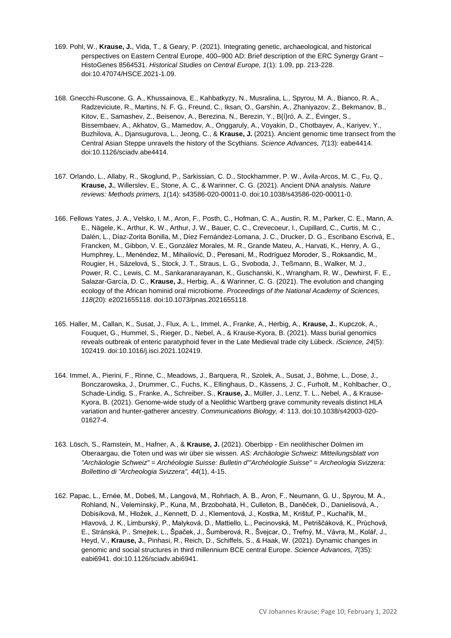- 169. Pohl, W., **Krause, J.**, Vida, T., & Geary, P. (2021). Integrating genetic, archaeological, and historical perspectives on Eastern Central Europe, 400–900 AD: Brief description of the ERC Synergy Grant – HistoGenes 8564531. *Historical Studies on Central Europe, 1*(1): 1.09, pp. 213-228. doi:10.47074/HSCE.2021-1.09.
- 168. Gnecchi-Ruscone, G. A., Khussainova, E., Kahbatkyzy, N., Musralina, L., Spyrou, M. A., Bianco, R. A., Radzeviciute, R., Martins, N. F. G., Freund, C., Iksan, O., Garshin, A., Zhaniyazov, Z., Bekmanov, B., Kitov, E., Samashev, Z., Beisenov, A., Berezina, N., Berezin, Y., B{í}ró, A. Z., Évinger, S., Bissembaev, A., Akhatov, G., Mamedov, A., Onggaruly, A., Voyakin, D., Chotbayev, A., Kariyev, Y., Buzhilova, A., Djansugurova, L., Jeong, C., & **Krause, J.** (2021). Ancient genomic time transect from the Central Asian Steppe unravels the history of the Scythians. *Science Advances, 7*(13): eabe4414. doi:10.1126/sciadv.abe4414.
- 167. Orlando, L., Allaby, R., Skoglund, P., Sarkissian, C. D., Stockhammer, P. W., Ávila-Arcos, M. C., Fu, Q., **Krause, J.**, Willerslev, E., Stone, A. C., & Warinner, C. G. (2021). Ancient DNA analysis. *Nature reviews: Methods primers, 1*(14): s43586-020-00011-0. doi:10.1038/s43586-020-00011-0.
- 166. Fellows Yates, J. A., Velsko, I. M., Aron, F., Posth, C., Hofman, C. A., Austin, R. M., Parker, C. E., Mann, A. E., Nägele, K., Arthur, K. W., Arthur, J. W., Bauer, C. C., Crevecoeur, I., Cupillard, C., Curtis, M. C., Dalén, L., Díaz-Zorita Bonilla, M., Díez Fernández-Lomana, J. C., Drucker, D. G., Escribano Escrivá, E., Francken, M., Gibbon, V. E., González Morales, M. R., Grande Mateu, A., Harvati, K., Henry, A. G., Humphrey, L., Menéndez, M., Mihailović, D., Peresani, M., Rodríguez Moroder, S., Roksandic, M., Rougier, H., Sázelová, S., Stock, J. T., Straus, L. G., Svoboda, J., Teßmann, B., Walker, M. J., Power, R. C., Lewis, C. M., Sankaranarayanan, K., Guschanski, K., Wrangham, R. W., Dewhirst, F. E., Salazar-García, D. C., **Krause, J.**, Herbig, A., & Warinner, C. G. (2021). The evolution and changing ecology of the African hominid oral microbiome. *Proceedings of the National Academy of Sciences, 118*(20): e2021655118. doi:10.1073/pnas.2021655118.
- 165. Haller, M., Callan, K., Susat, J., Flux, A. L., Immel, A., Franke, A., Herbig, A., **Krause, J.**, Kupczok, A., Fouquet, G., Hummel, S., Rieger, D., Nebel, A., & Krause-Kyora, B. (2021). Mass burial genomics reveals outbreak of enteric paratyphoid fever in the Late Medieval trade city Lübeck. *iScience, 24*(5): 102419. doi:10.1016/j.isci.2021.102419.
- 164. Immel, A., Pierini, F., Rinne, C., Meadows, J., Barquera, R., Szolek, A., Susat, J., Böhme, L., Dose, J., Bonczarowska, J., Drummer, C., Fuchs, K., Ellinghaus, D., Kässens, J. C., Furholt, M., Kohlbacher, O., Schade-Lindig, S., Franke, A., Schreiber, S., **Krause, J.**, Müller, J., Lenz, T. L., Nebel, A., & Krause-Kyora, B. (2021). Genome-wide study of a Neolithic Wartberg grave community reveals distinct HLA variation and hunter-gatherer ancestry. *Communications Biology, 4*: 113. doi:10.1038/s42003-020- 01627-4.
- 163. Lösch, S., Ramstein, M., Hafner, A., & **Krause, J.** (2021). Oberbipp Ein neolithischer Dolmen im Oberaargau, die Toten und was wir über sie wissen. *AS: Archäologie Schweiz: Mitteilungsblatt von "Archäologie Schweiz" = Archéologie Suisse: Bulletin d'"Archéologie Suisse" = Archeologia Svizzera: Bollettino di "Archeologia Svizzera", 44*(1), 4-15.
- 162. Papac, L., Ernée, M., Dobeš, M., Langová, M., Rohrlach, A. B., Aron, F., Neumann, G. U., Spyrou, M. A., Rohland, N., Velemínský, P., Kuna, M., Brzobohatá, H., Culleton, B., Daněček, D., Danielisová, A., Dobisíková, M., Hložek, J., Kennett, D. J., Klementová, J., Kostka, M., Krištuf, P., Kuchařík, M., Hlavová, J. K., Limburský, P., Malyková, D., Mattiello, L., Pecinovská, M., Petriščáková, K., Průchová, E., Stránská, P., Smejtek, L., Špaček, J., Šumberová, R., Švejcar, O., Trefný, M., Vávra, M., Kolář, J., Heyd, V., **Krause, J.**, Pinhasi, R., Reich, D., Schiffels, S., & Haak, W. (2021). Dynamic changes in genomic and social structures in third millennium BCE central Europe. *Science Advances, 7*(35): eabi6941. doi:10.1126/sciadv.abi6941.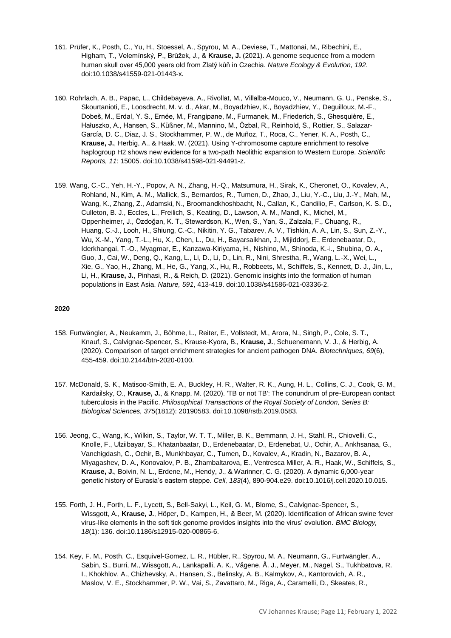- 161. Prüfer, K., Posth, C., Yu, H., Stoessel, A., Spyrou, M. A., Deviese, T., Mattonai, M., Ribechini, E., Higham, T., Velemínský, P., Brůžek, J., & **Krause, J.** (2021). A genome sequence from a modern human skull over 45,000 years old from Zlatý kůň in Czechia. *Nature Ecology & Evolution, 192*. doi:10.1038/s41559-021-01443-x.
- 160. Rohrlach, A. B., Papac, L., Childebayeva, A., Rivollat, M., Villalba-Mouco, V., Neumann, G. U., Penske, S., Skourtanioti, E., Loosdrecht, M. v. d., Akar, M., Boyadzhiev, K., Boyadzhiev, Y., Deguilloux, M.-F., Dobeš, M., Erdal, Y. S., Ernée, M., Frangipane, M., Furmanek, M., Friederich, S., Ghesquière, E., Hałuszko, A., Hansen, S., Küßner, M., Mannino, M., Özbal, R., Reinhold, S., Rottier, S., Salazar-García, D. C., Diaz, J. S., Stockhammer, P. W., de Muñoz, T., Roca, C., Yener, K. A., Posth, C., **Krause, J.**, Herbig, A., & Haak, W. (2021). Using Y-chromosome capture enrichment to resolve haplogroup H2 shows new evidence for a two-path Neolithic expansion to Western Europe. *Scientific Reports, 11*: 15005. doi:10.1038/s41598-021-94491-z.
- 159. Wang, C.-C., Yeh, H.-Y., Popov, A. N., Zhang, H.-Q., Matsumura, H., Sirak, K., Cheronet, O., Kovalev, A., Rohland, N., Kim, A. M., Mallick, S., Bernardos, R., Tumen, D., Zhao, J., Liu, Y.-C., Liu, J.-Y., Mah, M., Wang, K., Zhang, Z., Adamski, N., Broomandkhoshbacht, N., Callan, K., Candilio, F., Carlson, K. S. D., Culleton, B. J., Eccles, L., Freilich, S., Keating, D., Lawson, A. M., Mandl, K., Michel, M., Oppenheimer, J., Özdoğan, K. T., Stewardson, K., Wen, S., Yan, S., Zalzala, F., Chuang, R., Huang, C.-J., Looh, H., Shiung, C.-C., Nikitin, Y. G., Tabarev, A. V., Tishkin, A. A., Lin, S., Sun, Z.-Y., Wu, X.-M., Yang, T.-L., Hu, X., Chen, L., Du, H., Bayarsaikhan, J., Mijiddorj, E., Erdenebaatar, D., Iderkhangai, T.-O., Myagmar, E., Kanzawa-Kiriyama, H., Nishino, M., Shinoda, K.-i., Shubina, O. A., Guo, J., Cai, W., Deng, Q., Kang, L., Li, D., Li, D., Lin, R., Nini, Shrestha, R., Wang, L.-X., Wei, L., Xie, G., Yao, H., Zhang, M., He, G., Yang, X., Hu, R., Robbeets, M., Schiffels, S., Kennett, D. J., Jin, L., Li, H., **Krause, J.**, Pinhasi, R., & Reich, D. (2021). Genomic insights into the formation of human populations in East Asia. *Nature, 591*, 413-419. doi:10.1038/s41586-021-03336-2.

- 158. Furtwängler, A., Neukamm, J., Böhme, L., Reiter, E., Vollstedt, M., Arora, N., Singh, P., Cole, S. T., Knauf, S., Calvignac-Spencer, S., Krause-Kyora, B., **Krause, J.**, Schuenemann, V. J., & Herbig, A. (2020). Comparison of target enrichment strategies for ancient pathogen DNA. *Biotechniques, 69*(6), 455-459. doi:10.2144/btn-2020-0100.
- 157. McDonald, S. K., Matisoo-Smith, E. A., Buckley, H. R., Walter, R. K., Aung, H. L., Collins, C. J., Cook, G. M., Kardailsky, O., **Krause, J.**, & Knapp, M. (2020). 'TB or not TB': The conundrum of pre-European contact tuberculosis in the Pacific. *Philosophical Transactions of the Royal Society of London, Series B: Biological Sciences, 375*(1812): 20190583. doi:10.1098/rstb.2019.0583.
- 156. Jeong, C., Wang, K., Wilkin, S., Taylor, W. T. T., Miller, B. K., Bemmann, J. H., Stahl, R., Chiovelli, C., Knolle, F., Ulziibayar, S., Khatanbaatar, D., Erdenebaatar, D., Erdenebat, U., Ochir, A., Ankhsanaa, G., Vanchigdash, C., Ochir, B., Munkhbayar, C., Tumen, D., Kovalev, A., Kradin, N., Bazarov, B. A., Miyagashev, D. A., Konovalov, P. B., Zhambaltarova, E., Ventresca Miller, A. R., Haak, W., Schiffels, S., **Krause, J.**, Boivin, N. L., Erdene, M., Hendy, J., & Warinner, C. G. (2020). A dynamic 6,000-year genetic history of Eurasia's eastern steppe. *Cell, 183*(4), 890-904.e29. doi:10.1016/j.cell.2020.10.015.
- 155. Forth, J. H., Forth, L. F., Lycett, S., Bell-Sakyi, L., Keil, G. M., Blome, S., Calvignac-Spencer, S., Wissgott, A., **Krause, J.**, Höper, D., Kampen, H., & Beer, M. (2020). Identification of African swine fever virus-like elements in the soft tick genome provides insights into the virus' evolution. *BMC Biology, 18*(1): 136. doi:10.1186/s12915-020-00865-6.
- 154. Key, F. M., Posth, C., Esquivel-Gomez, L. R., Hübler, R., Spyrou, M. A., Neumann, G., Furtwängler, A., Sabin, S., Burri, M., Wissgott, A., Lankapalli, A. K., Vågene, Å. J., Meyer, M., Nagel, S., Tukhbatova, R. I., Khokhlov, A., Chizhevsky, A., Hansen, S., Belinsky, A. B., Kalmykov, A., Kantorovich, A. R., Maslov, V. E., Stockhammer, P. W., Vai, S., Zavattaro, M., Riga, A., Caramelli, D., Skeates, R.,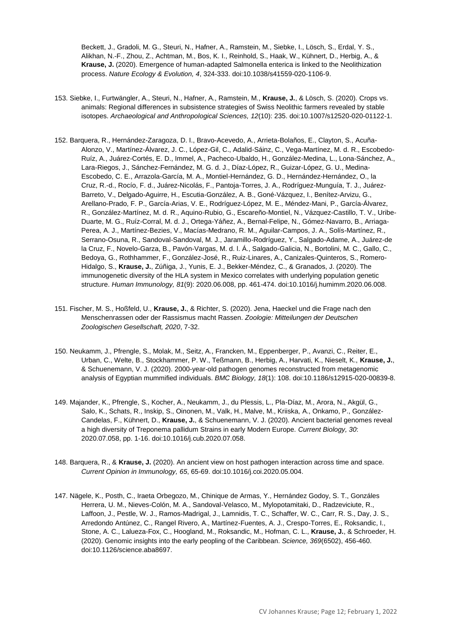Beckett, J., Gradoli, M. G., Steuri, N., Hafner, A., Ramstein, M., Siebke, I., Lösch, S., Erdal, Y. S., Alikhan, N.-F., Zhou, Z., Achtman, M., Bos, K. I., Reinhold, S., Haak, W., Kühnert, D., Herbig, A., & **Krause, J.** (2020). Emergence of human-adapted Salmonella enterica is linked to the Neolithization process. *Nature Ecology & Evolution, 4*, 324-333. doi:10.1038/s41559-020-1106-9.

- 153. Siebke, I., Furtwängler, A., Steuri, N., Hafner, A., Ramstein, M., **Krause, J.**, & Lösch, S. (2020). Crops vs. animals: Regional differences in subsistence strategies of Swiss Neolithic farmers revealed by stable isotopes. *Archaeological and Anthropological Sciences, 12*(10): 235. doi:10.1007/s12520-020-01122-1.
- 152. Barquera, R., Hernández-Zaragoza, D. I., Bravo-Acevedo, A., Arrieta-Bolaños, E., Clayton, S., Acuña-Alonzo, V., Martínez-Álvarez, J. C., López-Gil, C., Adalid-Sáinz, C., Vega-Martínez, M. d. R., Escobedo-Ruíz, A., Juárez-Cortés, E. D., Immel, A., Pacheco-Ubaldo, H., González-Medina, L., Lona-Sánchez, A., Lara-Riegos, J., Sánchez-Fernández, M. G. d. J., Díaz-López, R., Guizar-López, G. U., Medina-Escobedo, C. E., Arrazola-García, M. A., Montiel-Hernández, G. D., Hernández-Hernández, O., la Cruz, R.-d., Rocío, F. d., Juárez-Nicolás, F., Pantoja-Torres, J. A., Rodríguez-Munguía, T. J., Juárez-Barreto, V., Delgado-Aguirre, H., Escutia-González, A. B., Goné-Vázquez, I., Benítez-Arvizu, G., Arellano-Prado, F. P., García-Arias, V. E., Rodríguez-López, M. E., Méndez-Mani, P., García-Álvarez, R., González-Martínez, M. d. R., Aquino-Rubio, G., Escareño-Montiel, N., Vázquez-Castillo, T. V., Uribe-Duarte, M. G., Ruíz-Corral, M. d. J., Ortega-Yáñez, A., Bernal-Felipe, N., Gómez-Navarro, B., Arriaga-Perea, A. J., Martínez-Bezies, V., Macías-Medrano, R. M., Aguilar-Campos, J. A., Solís-Martínez, R., Serrano-Osuna, R., Sandoval-Sandoval, M. J., Jaramillo-Rodríguez, Y., Salgado-Adame, A., Juárez-de la Cruz, F., Novelo-Garza, B., Pavón-Vargas, M. d. l. Á., Salgado-Galicia, N., Bortolini, M. C., Gallo, C., Bedoya, G., Rothhammer, F., González-José, R., Ruiz-Linares, A., Canizales-Quinteros, S., Romero-Hidalgo, S., **Krause, J.**, Zúñiga, J., Yunis, E. J., Bekker-Méndez, C., & Granados, J. (2020). The immunogenetic diversity of the HLA system in Mexico correlates with underlying population genetic structure. *Human Immunology, 81*(9): 2020.06.008, pp. 461-474. doi:10.1016/j.humimm.2020.06.008.
- 151. Fischer, M. S., Hoßfeld, U., **Krause, J.**, & Richter, S. (2020). Jena, Haeckel und die Frage nach den Menschenrassen oder der Rassismus macht Rassen. *Zoologie: Mitteilungen der Deutschen Zoologischen Gesellschaft, 2020*, 7-32.
- 150. Neukamm, J., Pfrengle, S., Molak, M., Seitz, A., Francken, M., Eppenberger, P., Avanzi, C., Reiter, E., Urban, C., Welte, B., Stockhammer, P. W., Teßmann, B., Herbig, A., Harvati, K., Nieselt, K., **Krause, J.**, & Schuenemann, V. J. (2020). 2000-year-old pathogen genomes reconstructed from metagenomic analysis of Egyptian mummified individuals. *BMC Biology, 18*(1): 108. doi:10.1186/s12915-020-00839-8.
- 149. Majander, K., Pfrengle, S., Kocher, A., Neukamm, J., du Plessis, L., Pla-Díaz, M., Arora, N., Akgül, G., Salo, K., Schats, R., Inskip, S., Oinonen, M., Valk, H., Malve, M., Kriiska, A., Onkamo, P., González-Candelas, F., Kühnert, D., **Krause, J.**, & Schuenemann, V. J. (2020). Ancient bacterial genomes reveal a high diversity of Treponema pallidum Strains in early Modern Europe. *Current Biology, 30*: 2020.07.058, pp. 1-16. doi:10.1016/j.cub.2020.07.058.
- 148. Barquera, R., & **Krause, J.** (2020). An ancient view on host pathogen interaction across time and space. *Current Opinion in Immunology, 65*, 65-69. doi:10.1016/j.coi.2020.05.004.
- 147. Nägele, K., Posth, C., Iraeta Orbegozo, M., Chinique de Armas, Y., Hernández Godoy, S. T., Gonzáles Herrera, U. M., Nieves-Colón, M. A., Sandoval-Velasco, M., Mylopotamitaki, D., Radzeviciute, R., Laffoon, J., Pestle, W. J., Ramos-Madrigal, J., Lamnidis, T. C., Schaffer, W. C., Carr, R. S., Day, J. S., Arredondo Antúnez, C., Rangel Rivero, A., Martínez-Fuentes, A. J., Crespo-Torres, E., Roksandic, I., Stone, A. C., Lalueza-Fox, C., Hoogland, M., Roksandic, M., Hofman, C. L., **Krause, J.**, & Schroeder, H. (2020). Genomic insights into the early peopling of the Caribbean. *Science, 369*(6502), 456-460. doi:10.1126/science.aba8697.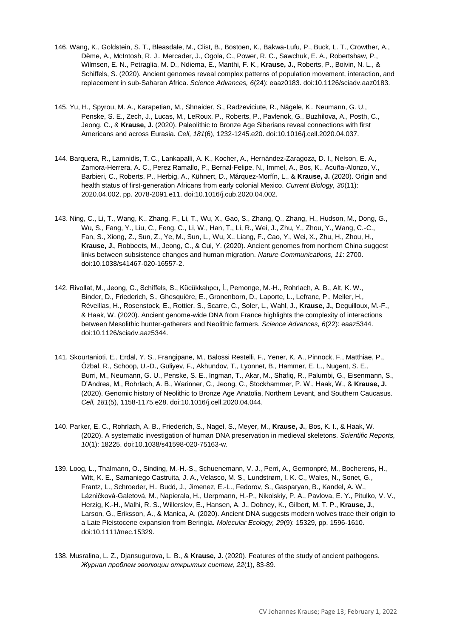- 146. Wang, K., Goldstein, S. T., Bleasdale, M., Clist, B., Bostoen, K., Bakwa-Lufu, P., Buck, L. T., Crowther, A., Dème, A., McIntosh, R. J., Mercader, J., Ogola, C., Power, R. C., Sawchuk, E. A., Robertshaw, P., Wilmsen, E. N., Petraglia, M. D., Ndiema, E., Manthi, F. K., **Krause, J.**, Roberts, P., Boivin, N. L., & Schiffels, S. (2020). Ancient genomes reveal complex patterns of population movement, interaction, and replacement in sub-Saharan Africa. *Science Advances, 6*(24): eaaz0183. doi:10.1126/sciadv.aaz0183.
- 145. Yu, H., Spyrou, M. A., Karapetian, M., Shnaider, S., Radzeviciute, R., Nägele, K., Neumann, G. U., Penske, S. E., Zech, J., Lucas, M., LeRoux, P., Roberts, P., Pavlenok, G., Buzhilova, A., Posth, C., Jeong, C., & **Krause, J.** (2020). Paleolithic to Bronze Age Siberians reveal connections with first Americans and across Eurasia. *Cell, 181*(6), 1232-1245.e20. doi:10.1016/j.cell.2020.04.037.
- 144. Barquera, R., Lamnidis, T. C., Lankapalli, A. K., Kocher, A., Hernández-Zaragoza, D. I., Nelson, E. A., Zamora-Herrera, A. C., Perez Ramallo, P., Bernal-Felipe, N., Immel, A., Bos, K., Acuña-Alonzo, V., Barbieri, C., Roberts, P., Herbig, A., Kühnert, D., Márquez-Morfín, L., & **Krause, J.** (2020). Origin and health status of first-generation Africans from early colonial Mexico. *Current Biology, 30*(11): 2020.04.002, pp. 2078-2091.e11. doi:10.1016/j.cub.2020.04.002.
- 143. Ning, C., Li, T., Wang, K., Zhang, F., Li, T., Wu, X., Gao, S., Zhang, Q., Zhang, H., Hudson, M., Dong, G., Wu, S., Fang, Y., Liu, C., Feng, C., Li, W., Han, T., Li, R., Wei, J., Zhu, Y., Zhou, Y., Wang, C.-C., Fan, S., Xiong, Z., Sun, Z., Ye, M., Sun, L., Wu, X., Liang, F., Cao, Y., Wei, X., Zhu, H., Zhou, H., **Krause, J.**, Robbeets, M., Jeong, C., & Cui, Y. (2020). Ancient genomes from northern China suggest links between subsistence changes and human migration. *Nature Communications, 11*: 2700. doi:10.1038/s41467-020-16557-2.
- 142. Rivollat, M., Jeong, C., Schiffels, S., Kücükkalıpcı, İ., Pemonge, M.-H., Rohrlach, A. B., Alt, K. W., Binder, D., Friederich, S., Ghesquière, E., Gronenborn, D., Laporte, L., Lefranc, P., Meller, H., Réveillas, H., Rosenstock, E., Rottier, S., Scarre, C., Soler, L., Wahl, J., **Krause, J.**, Deguilloux, M.-F., & Haak, W. (2020). Ancient genome-wide DNA from France highlights the complexity of interactions between Mesolithic hunter-gatherers and Neolithic farmers. *Science Advances, 6*(22): eaaz5344. doi:10.1126/sciadv.aaz5344.
- 141. Skourtanioti, E., Erdal, Y. S., Frangipane, M., Balossi Restelli, F., Yener, K. A., Pinnock, F., Matthiae, P., Özbal, R., Schoop, U.-D., Guliyev, F., Akhundov, T., Lyonnet, B., Hammer, E. L., Nugent, S. E., Burri, M., Neumann, G. U., Penske, S. E., Ingman, T., Akar, M., Shafiq, R., Palumbi, G., Eisenmann, S., D'Andrea, M., Rohrlach, A. B., Warinner, C., Jeong, C., Stockhammer, P. W., Haak, W., & **Krause, J.** (2020). Genomic history of Neolithic to Bronze Age Anatolia, Northern Levant, and Southern Caucasus. *Cell, 181*(5), 1158-1175.e28. doi:10.1016/j.cell.2020.04.044.
- 140. Parker, E. C., Rohrlach, A. B., Friederich, S., Nagel, S., Meyer, M., **Krause, J.**, Bos, K. I., & Haak, W. (2020). A systematic investigation of human DNA preservation in medieval skeletons. *Scientific Reports, 10*(1): 18225. doi:10.1038/s41598-020-75163-w.
- 139. Loog, L., Thalmann, O., Sinding, M.-H.-S., Schuenemann, V. J., Perri, A., Germonpré, M., Bocherens, H., Witt, K. E., Samaniego Castruita, J. A., Velasco, M. S., Lundstrøm, I. K. C., Wales, N., Sonet, G., Frantz, L., Schroeder, H., Budd, J., Jimenez, E.-L., Fedorov, S., Gasparyan, B., Kandel, A. W., Lázničková-Galetová, M., Napierala, H., Uerpmann, H.-P., Nikolskiy, P. A., Pavlova, E. Y., Pitulko, V. V., Herzig, K.-H., Malhi, R. S., Willerslev, E., Hansen, A. J., Dobney, K., Gilbert, M. T. P., **Krause, J.**, Larson, G., Eriksson, A., & Manica, A. (2020). Ancient DNA suggests modern wolves trace their origin to a Late Pleistocene expansion from Beringia. *Molecular Ecology, 29*(9): 15329, pp. 1596-1610. doi:10.1111/mec.15329.
- 138. Musralina, L. Z., Djansugurova, L. B., & **Krause, J.** (2020). Features of the study of ancient pathogens. *Журнал проблем эволюции открытых систем, 22*(1), 83-89.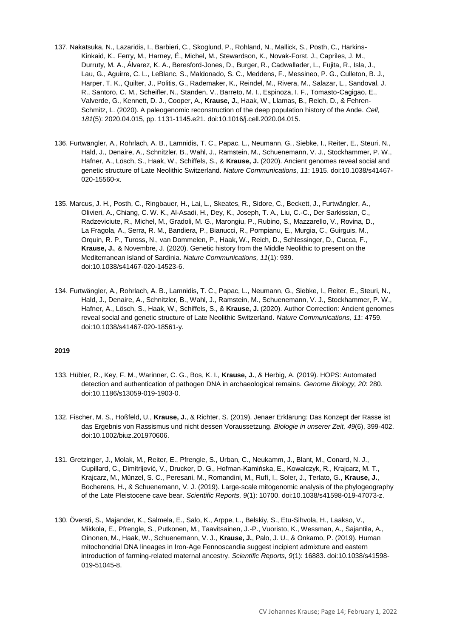- 137. Nakatsuka, N., Lazaridis, I., Barbieri, C., Skoglund, P., Rohland, N., Mallick, S., Posth, C., Harkins-Kinkaid, K., Ferry, M., Harney, É., Michel, M., Stewardson, K., Novak-Forst, J., Capriles, J. M., Durruty, M. A., Álvarez, K. A., Beresford-Jones, D., Burger, R., Cadwallader, L., Fujita, R., Isla, J., Lau, G., Aguirre, C. L., LeBlanc, S., Maldonado, S. C., Meddens, F., Messineo, P. G., Culleton, B. J., Harper, T. K., Quilter, J., Politis, G., Rademaker, K., Reindel, M., Rivera, M., Salazar, L., Sandoval, J. R., Santoro, C. M., Scheifler, N., Standen, V., Barreto, M. I., Espinoza, I. F., Tomasto-Cagigao, E., Valverde, G., Kennett, D. J., Cooper, A., **Krause, J.**, Haak, W., Llamas, B., Reich, D., & Fehren-Schmitz, L. (2020). A paleogenomic reconstruction of the deep population history of the Ande. *Cell, 181*(5): 2020.04.015, pp. 1131-1145.e21. doi:10.1016/j.cell.2020.04.015.
- 136. Furtwängler, A., Rohrlach, A. B., Lamnidis, T. C., Papac, L., Neumann, G., Siebke, I., Reiter, E., Steuri, N., Hald, J., Denaire, A., Schnitzler, B., Wahl, J., Ramstein, M., Schuenemann, V. J., Stockhammer, P. W., Hafner, A., Lösch, S., Haak, W., Schiffels, S., & **Krause, J.** (2020). Ancient genomes reveal social and genetic structure of Late Neolithic Switzerland. *Nature Communications, 11*: 1915. doi:10.1038/s41467- 020-15560-x.
- 135. Marcus, J. H., Posth, C., Ringbauer, H., Lai, L., Skeates, R., Sidore, C., Beckett, J., Furtwängler, A., Olivieri, A., Chiang, C. W. K., Al-Asadi, H., Dey, K., Joseph, T. A., Liu, C.-C., Der Sarkissian, C., Radzeviciute, R., Michel, M., Gradoli, M. G., Marongiu, P., Rubino, S., Mazzarello, V., Rovina, D., La Fragola, A., Serra, R. M., Bandiera, P., Bianucci, R., Pompianu, E., Murgia, C., Guirguis, M., Orquin, R. P., Tuross, N., van Dommelen, P., Haak, W., Reich, D., Schlessinger, D., Cucca, F., **Krause, J.**, & Novembre, J. (2020). Genetic history from the Middle Neolithic to present on the Mediterranean island of Sardinia. *Nature Communications, 11*(1): 939. doi:10.1038/s41467-020-14523-6.
- 134. Furtwängler, A., Rohrlach, A. B., Lamnidis, T. C., Papac, L., Neumann, G., Siebke, I., Reiter, E., Steuri, N., Hald, J., Denaire, A., Schnitzler, B., Wahl, J., Ramstein, M., Schuenemann, V. J., Stockhammer, P. W., Hafner, A., Lösch, S., Haak, W., Schiffels, S., & **Krause, J.** (2020). Author Correction: Ancient genomes reveal social and genetic structure of Late Neolithic Switzerland. *Nature Communications, 11*: 4759. doi:10.1038/s41467-020-18561-y.

- 133. Hübler, R., Key, F. M., Warinner, C. G., Bos, K. I., **Krause, J.**, & Herbig, A. (2019). HOPS: Automated detection and authentication of pathogen DNA in archaeological remains. *Genome Biology, 20*: 280. doi:10.1186/s13059-019-1903-0.
- 132. Fischer, M. S., Hoßfeld, U., **Krause, J.**, & Richter, S. (2019). Jenaer Erklärung: Das Konzept der Rasse ist das Ergebnis von Rassismus und nicht dessen Voraussetzung. *Biologie in unserer Zeit, 49*(6), 399-402. doi:10.1002/biuz.201970606.
- 131. Gretzinger, J., Molak, M., Reiter, E., Pfrengle, S., Urban, C., Neukamm, J., Blant, M., Conard, N. J., Cupillard, C., Dimitrijević, V., Drucker, D. G., Hofman-Kamińska, E., Kowalczyk, R., Krajcarz, M. T., Krajcarz, M., Münzel, S. C., Peresani, M., Romandini, M., Rufí, I., Soler, J., Terlato, G., **Krause, J.**, Bocherens, H., & Schuenemann, V. J. (2019). Large-scale mitogenomic analysis of the phylogeography of the Late Pleistocene cave bear. *Scientific Reports, 9*(1): 10700. doi:10.1038/s41598-019-47073-z.
- 130. Översti, S., Majander, K., Salmela, E., Salo, K., Arppe, L., Belskiy, S., Etu-Sihvola, H., Laakso, V., Mikkola, E., Pfrengle, S., Putkonen, M., Taavitsainen, J.-P., Vuoristo, K., Wessman, A., Sajantila, A., Oinonen, M., Haak, W., Schuenemann, V. J., **Krause, J.**, Palo, J. U., & Onkamo, P. (2019). Human mitochondrial DNA lineages in Iron-Age Fennoscandia suggest incipient admixture and eastern introduction of farming-related maternal ancestry. *Scientific Reports, 9*(1): 16883. doi:10.1038/s41598- 019-51045-8.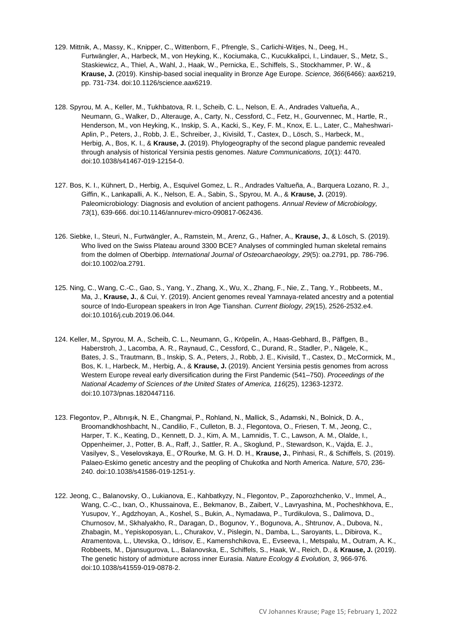- 129. Mittnik, A., Massy, K., Knipper, C., Wittenborn, F., Pfrengle, S., Carlichi-Witjes, N., Deeg, H., Furtwängler, A., Harbeck, M., von Heyking, K., Kociumaka, C., Kucukkalipci, I., Lindauer, S., Metz, S., Staskiewicz, A., Thiel, A., Wahl, J., Haak, W., Pernicka, E., Schiffels, S., Stockhammer, P. W., & **Krause, J.** (2019). Kinship-based social inequality in Bronze Age Europe. *Science, 366*(6466): aax6219, pp. 731-734. doi:10.1126/science.aax6219.
- 128. Spyrou, M. A., Keller, M., Tukhbatova, R. I., Scheib, C. L., Nelson, E. A., Andrades Valtueña, A., Neumann, G., Walker, D., Alterauge, A., Carty, N., Cessford, C., Fetz, H., Gourvennec, M., Hartle, R., Henderson, M., von Heyking, K., Inskip, S. A., Kacki, S., Key, F. M., Knox, E. L., Later, C., Maheshwari-Aplin, P., Peters, J., Robb, J. E., Schreiber, J., Kivisild, T., Castex, D., Lösch, S., Harbeck, M., Herbig, A., Bos, K. I., & **Krause, J.** (2019). Phylogeography of the second plague pandemic revealed through analysis of historical Yersinia pestis genomes. *Nature Communications, 10*(1): 4470. doi:10.1038/s41467-019-12154-0.
- 127. Bos, K. I., Kühnert, D., Herbig, A., Esquivel Gomez, L. R., Andrades Valtueña, A., Barquera Lozano, R. J., Giffin, K., Lankapalli, A. K., Nelson, E. A., Sabin, S., Spyrou, M. A., & **Krause, J.** (2019). Paleomicrobiology: Diagnosis and evolution of ancient pathogens. *Annual Review of Microbiology, 73*(1), 639-666. doi:10.1146/annurev-micro-090817-062436.
- 126. Siebke, I., Steuri, N., Furtwängler, A., Ramstein, M., Arenz, G., Hafner, A., **Krause, J.**, & Lösch, S. (2019). Who lived on the Swiss Plateau around 3300 BCE? Analyses of commingled human skeletal remains from the dolmen of Oberbipp. *International Journal of Osteoarchaeology, 29*(5): oa.2791, pp. 786-796. doi:10.1002/oa.2791.
- 125. Ning, C., Wang, C.-C., Gao, S., Yang, Y., Zhang, X., Wu, X., Zhang, F., Nie, Z., Tang, Y., Robbeets, M., Ma, J., **Krause, J.**, & Cui, Y. (2019). Ancient genomes reveal Yamnaya-related ancestry and a potential source of Indo-European speakers in Iron Age Tianshan. *Current Biology, 29*(15), 2526-2532.e4. doi:10.1016/j.cub.2019.06.044.
- 124. Keller, M., Spyrou, M. A., Scheib, C. L., Neumann, G., Kröpelin, A., Haas-Gebhard, B., Päffgen, B., Haberstroh, J., Lacomba, A. R., Raynaud, C., Cessford, C., Durand, R., Stadler, P., Nägele, K., Bates, J. S., Trautmann, B., Inskip, S. A., Peters, J., Robb, J. E., Kivisild, T., Castex, D., McCormick, M., Bos, K. I., Harbeck, M., Herbig, A., & **Krause, J.** (2019). Ancient Yersinia pestis genomes from across Western Europe reveal early diversification during the First Pandemic (541–750). *Proceedings of the National Academy of Sciences of the United States of America, 116*(25), 12363-12372. doi:10.1073/pnas.1820447116.
- 123. Flegontov, P., Altınışık, N. E., Changmai, P., Rohland, N., Mallick, S., Adamski, N., Bolnick, D. A., Broomandkhoshbacht, N., Candilio, F., Culleton, B. J., Flegontova, O., Friesen, T. M., Jeong, C., Harper, T. K., Keating, D., Kennett, D. J., Kim, A. M., Lamnidis, T. C., Lawson, A. M., Olalde, I., Oppenheimer, J., Potter, B. A., Raff, J., Sattler, R. A., Skoglund, P., Stewardson, K., Vajda, E. J., Vasilyev, S., Veselovskaya, E., O'Rourke, M. G. H. D. H., **Krause, J.**, Pinhasi, R., & Schiffels, S. (2019). Palaeo-Eskimo genetic ancestry and the peopling of Chukotka and North America. *Nature, 570*, 236- 240. doi:10.1038/s41586-019-1251-y.
- 122. Jeong, C., Balanovsky, O., Lukianova, E., Kahbatkyzy, N., Flegontov, P., Zaporozhchenko, V., Immel, A., Wang, C.-C., Ixan, O., Khussainova, E., Bekmanov, B., Zaibert, V., Lavryashina, M., Pocheshkhova, E., Yusupov, Y., Agdzhoyan, A., Koshel, S., Bukin, A., Nymadawa, P., Turdikulova, S., Dalimova, D., Churnosov, M., Skhalyakho, R., Daragan, D., Bogunov, Y., Bogunova, A., Shtrunov, A., Dubova, N., Zhabagin, M., Yepiskoposyan, L., Churakov, V., Pislegin, N., Damba, L., Saroyants, L., Dibirova, K., Atramentova, L., Utevska, O., Idrisov, E., Kamenshchikova, E., Evseeva, I., Metspalu, M., Outram, A. K., Robbeets, M., Djansugurova, L., Balanovska, E., Schiffels, S., Haak, W., Reich, D., & **Krause, J.** (2019). The genetic history of admixture across inner Eurasia. *Nature Ecology & Evolution, 3*, 966-976. doi:10.1038/s41559-019-0878-2.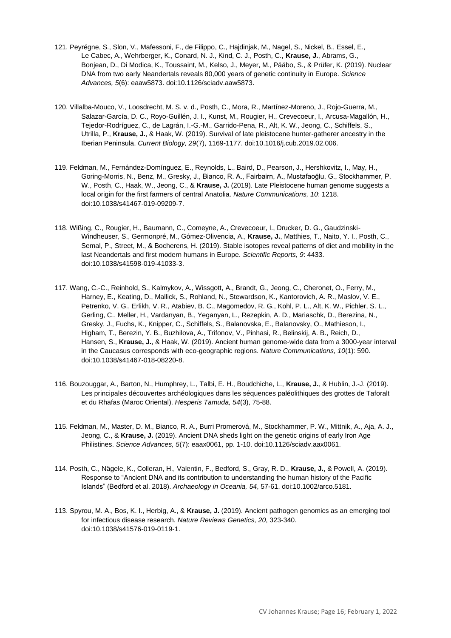- 121. Peyrégne, S., Slon, V., Mafessoni, F., de Filippo, C., Hajdinjak, M., Nagel, S., Nickel, B., Essel, E., Le Cabec, A., Wehrberger, K., Conard, N. J., Kind, C. J., Posth, C., **Krause, J.**, Abrams, G., Bonjean, D., Di Modica, K., Toussaint, M., Kelso, J., Meyer, M., Pääbo, S., & Prüfer, K. (2019). Nuclear DNA from two early Neandertals reveals 80,000 years of genetic continuity in Europe. *Science Advances, 5*(6): eaaw5873. doi:10.1126/sciadv.aaw5873.
- 120. Villalba-Mouco, V., Loosdrecht, M. S. v. d., Posth, C., Mora, R., Martínez-Moreno, J., Rojo-Guerra, M., Salazar-García, D. C., Royo-Guillén, J. I., Kunst, M., Rougier, H., Crevecoeur, I., Arcusa-Magallón, H., Tejedor-Rodríguez, C., de Lagrán, I.-G.-M., Garrido-Pena, R., Alt, K. W., Jeong, C., Schiffels, S., Utrilla, P., **Krause, J.**, & Haak, W. (2019). Survival of late pleistocene hunter-gatherer ancestry in the Iberian Peninsula. *Current Biology, 29*(7), 1169-1177. doi:10.1016/j.cub.2019.02.006.
- 119. Feldman, M., Fernández-Domínguez, E., Reynolds, L., Baird, D., Pearson, J., Hershkovitz, I., May, H., Goring-Morris, N., Benz, M., Gresky, J., Bianco, R. A., Fairbairn, A., Mustafaoğlu, G., Stockhammer, P. W., Posth, C., Haak, W., Jeong, C., & **Krause, J.** (2019). Late Pleistocene human genome suggests a local origin for the first farmers of central Anatolia. *Nature Communications, 10*: 1218. doi:10.1038/s41467-019-09209-7.
- 118. Wißing, C., Rougier, H., Baumann, C., Comeyne, A., Crevecoeur, I., Drucker, D. G., Gaudzinski-Windheuser, S., Germonpré, M., Gómez-Olivencia, A., **Krause, J.**, Matthies, T., Naito, Y. I., Posth, C., Semal, P., Street, M., & Bocherens, H. (2019). Stable isotopes reveal patterns of diet and mobility in the last Neandertals and first modern humans in Europe. *Scientific Reports, 9*: 4433. doi:10.1038/s41598-019-41033-3.
- 117. Wang, C.-C., Reinhold, S., Kalmykov, A., Wissgott, A., Brandt, G., Jeong, C., Cheronet, O., Ferry, M., Harney, E., Keating, D., Mallick, S., Rohland, N., Stewardson, K., Kantorovich, A. R., Maslov, V. E., Petrenko, V. G., Erlikh, V. R., Atabiev, B. C., Magomedov, R. G., Kohl, P. L., Alt, K. W., Pichler, S. L., Gerling, C., Meller, H., Vardanyan, B., Yeganyan, L., Rezepkin, A. D., Mariaschk, D., Berezina, N., Gresky, J., Fuchs, K., Knipper, C., Schiffels, S., Balanovska, E., Balanovsky, O., Mathieson, I., Higham, T., Berezin, Y. B., Buzhilova, A., Trifonov, V., Pinhasi, R., Belinskij, A. B., Reich, D., Hansen, S., **Krause, J.**, & Haak, W. (2019). Ancient human genome-wide data from a 3000-year interval in the Caucasus corresponds with eco-geographic regions. *Nature Communications, 10*(1): 590. doi:10.1038/s41467-018-08220-8.
- 116. Bouzouggar, A., Barton, N., Humphrey, L., Talbi, E. H., Boudchiche, L., **Krause, J.**, & Hublin, J.-J. (2019). Les principales découvertes archéologiques dans les séquences paléolithiques des grottes de Taforalt et du Rhafas (Maroc Oriental). *Hesperis Tamuda, 54*(3), 75-88.
- 115. Feldman, M., Master, D. M., Bianco, R. A., Burri Promerová, M., Stockhammer, P. W., Mittnik, A., Aja, A. J., Jeong, C., & **Krause, J.** (2019). Ancient DNA sheds light on the genetic origins of early Iron Age Philistines. *Science Advances, 5*(7): eaax0061, pp. 1-10. doi:10.1126/sciadv.aax0061.
- 114. Posth, C., Nägele, K., Colleran, H., Valentin, F., Bedford, S., Gray, R. D., **Krause, J.**, & Powell, A. (2019). Response to "Ancient DNA and its contribution to understanding the human history of the Pacific Islands" (Bedford et al. 2018). *Archaeology in Oceania, 54*, 57-61. doi:10.1002/arco.5181.
- 113. Spyrou, M. A., Bos, K. I., Herbig, A., & **Krause, J.** (2019). Ancient pathogen genomics as an emerging tool for infectious disease research. *Nature Reviews Genetics, 20*, 323-340. doi:10.1038/s41576-019-0119-1.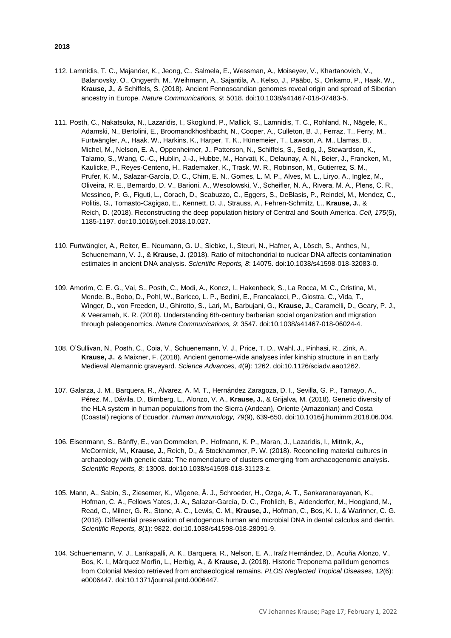- 112. Lamnidis, T. C., Majander, K., Jeong, C., Salmela, E., Wessman, A., Moiseyev, V., Khartanovich, V., Balanovsky, O., Ongyerth, M., Weihmann, A., Sajantila, A., Kelso, J., Pääbo, S., Onkamo, P., Haak, W., **Krause, J.**, & Schiffels, S. (2018). Ancient Fennoscandian genomes reveal origin and spread of Siberian ancestry in Europe. *Nature Communications, 9*: 5018. doi:10.1038/s41467-018-07483-5.
- 111. Posth, C., Nakatsuka, N., Lazaridis, I., Skoglund, P., Mallick, S., Lamnidis, T. C., Rohland, N., Nägele, K., Adamski, N., Bertolini, E., Broomandkhoshbacht, N., Cooper, A., Culleton, B. J., Ferraz, T., Ferry, M., Furtwängler, A., Haak, W., Harkins, K., Harper, T. K., Hünemeier, T., Lawson, A. M., Llamas, B., Michel, M., Nelson, E. A., Oppenheimer, J., Patterson, N., Schiffels, S., Sedig, J., Stewardson, K., Talamo, S., Wang, C.-C., Hublin, J.-J., Hubbe, M., Harvati, K., Delaunay, A. N., Beier, J., Francken, M., Kaulicke, P., Reyes-Centeno, H., Rademaker, K., Trask, W. R., Robinson, M., Gutierrez, S. M., Prufer, K. M., Salazar-García, D. C., Chim, E. N., Gomes, L. M. P., Alves, M. L., Liryo, A., Inglez, M., Oliveira, R. E., Bernardo, D. V., Barioni, A., Wesolowski, V., Scheifler, N. A., Rivera, M. A., Plens, C. R., Messineo, P. G., Figuti, L., Corach, D., Scabuzzo, C., Eggers, S., DeBlasis, P., Reindel, M., Mendez, C., Politis, G., Tomasto-Cagigao, E., Kennett, D. J., Strauss, A., Fehren-Schmitz, L., **Krause, J.**, & Reich, D. (2018). Reconstructing the deep population history of Central and South America. *Cell, 175*(5), 1185-1197. doi:10.1016/j.cell.2018.10.027.
- 110. Furtwängler, A., Reiter, E., Neumann, G. U., Siebke, I., Steuri, N., Hafner, A., Lösch, S., Anthes, N., Schuenemann, V. J., & **Krause, J.** (2018). Ratio of mitochondrial to nuclear DNA affects contamination estimates in ancient DNA analysis. *Scientific Reports, 8*: 14075. doi:10.1038/s41598-018-32083-0.
- 109. Amorim, C. E. G., Vai, S., Posth, C., Modi, A., Koncz, I., Hakenbeck, S., La Rocca, M. C., Cristina, M., Mende, B., Bobo, D., Pohl, W., Baricco, L. P., Bedini, E., Francalacci, P., Giostra, C., Vida, T., Winger, D., von Freeden, U., Ghirotto, S., Lari, M., Barbujani, G., **Krause, J.**, Caramelli, D., Geary, P. J., & Veeramah, K. R. (2018). Understanding 6th-century barbarian social organization and migration through paleogenomics. *Nature Communications, 9*: 3547. doi:10.1038/s41467-018-06024-4.
- 108. O'Sullivan, N., Posth, C., Coia, V., Schuenemann, V. J., Price, T. D., Wahl, J., Pinhasi, R., Zink, A., **Krause, J.**, & Maixner, F. (2018). Ancient genome-wide analyses infer kinship structure in an Early Medieval Alemannic graveyard. *Science Advances, 4*(9): 1262. doi:10.1126/sciadv.aao1262.
- 107. Galarza, J. M., Barquera, R., Álvarez, A. M. T., Hernández Zaragoza, D. I., Sevilla, G. P., Tamayo, A., Pérez, M., Dávila, D., Birnberg, L., Alonzo, V. A., **Krause, J.**, & Grijalva, M. (2018). Genetic diversity of the HLA system in human populations from the Sierra (Andean), Oriente (Amazonian) and Costa (Coastal) regions of Ecuador. *Human Immunology, 79*(9), 639-650. doi:10.1016/j.humimm.2018.06.004.
- 106. Eisenmann, S., Bánffy, E., van Dommelen, P., Hofmann, K. P., Maran, J., Lazaridis, I., Mittnik, A., McCormick, M., **Krause, J.**, Reich, D., & Stockhammer, P. W. (2018). Reconciling material cultures in archaeology with genetic data: The nomenclature of clusters emerging from archaeogenomic analysis. *Scientific Reports, 8*: 13003. doi:10.1038/s41598-018-31123-z.
- 105. Mann, A., Sabin, S., Ziesemer, K., Vågene, Å. J., Schroeder, H., Ozga, A. T., Sankaranarayanan, K., Hofman, C. A., Fellows Yates, J. A., Salazar-García, D. C., Frohlich, B., Aldenderfer, M., Hoogland, M., Read, C., Milner, G. R., Stone, A. C., Lewis, C. M., **Krause, J.**, Hofman, C., Bos, K. I., & Warinner, C. G. (2018). Differential preservation of endogenous human and microbial DNA in dental calculus and dentin. *Scientific Reports, 8*(1): 9822. doi:10.1038/s41598-018-28091-9.
- 104. Schuenemann, V. J., Lankapalli, A. K., Barquera, R., Nelson, E. A., Iraíz Hernández, D., Acuña Alonzo, V., Bos, K. I., Márquez Morfín, L., Herbig, A., & **Krause, J.** (2018). Historic Treponema pallidum genomes from Colonial Mexico retrieved from archaeological remains. *PLOS Neglected Tropical Diseases, 12*(6): e0006447. doi:10.1371/journal.pntd.0006447.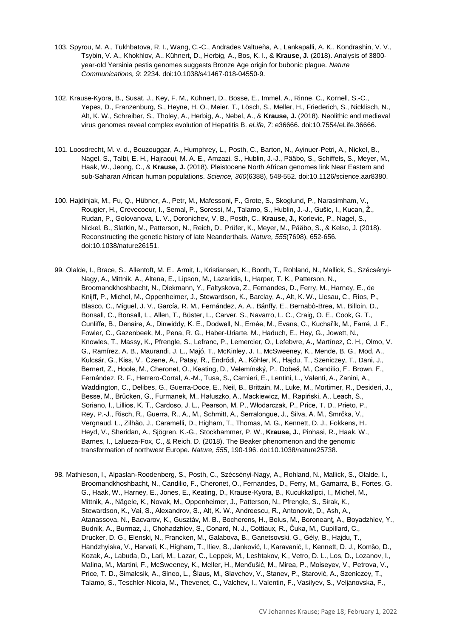- 103. Spyrou, M. A., Tukhbatova, R. I., Wang, C.-C., Andrades Valtueña, A., Lankapalli, A. K., Kondrashin, V. V., Tsybin, V. A., Khokhlov, A., Kühnert, D., Herbig, A., Bos, K. I., & **Krause, J.** (2018). Analysis of 3800 year-old Yersinia pestis genomes suggests Bronze Age origin for bubonic plague. *Nature Communications, 9*: 2234. doi:10.1038/s41467-018-04550-9.
- 102. Krause-Kyora, B., Susat, J., Key, F. M., Kühnert, D., Bosse, E., Immel, A., Rinne, C., Kornell, S.-C., Yepes, D., Franzenburg, S., Heyne, H. O., Meier, T., Lösch, S., Meller, H., Friederich, S., Nicklisch, N., Alt, K. W., Schreiber, S., Tholey, A., Herbig, A., Nebel, A., & **Krause, J.** (2018). Neolithic and medieval virus genomes reveal complex evolution of Hepatitis B. *eLife, 7*: e36666. doi:10.7554/eLife.36666.
- 101. Loosdrecht, M. v. d., Bouzouggar, A., Humphrey, L., Posth, C., Barton, N., Ayinuer-Petri, A., Nickel, B., Nagel, S., Talbi, E. H., Hajraoui, M. A. E., Amzazi, S., Hublin, J.-J., Pääbo, S., Schiffels, S., Meyer, M., Haak, W., Jeong, C., & **Krause, J.** (2018). Pleistocene North African genomes link Near Eastern and sub-Saharan African human populations. *Science, 360*(6388), 548-552. doi:10.1126/science.aar8380.
- 100. Hajdinjak, M., Fu, Q., Hübner, A., Petr, M., Mafessoni, F., Grote, S., Skoglund, P., Narasimham, V., Rougier, H., Crevecoeur, I., Semal, P., Soressi, M., Talamo, S., Hublin, J.-J., Gušic, I., Kucan, Ž., Rudan, P., Golovanova, L. V., Doronichev, V. B., Posth, C., **Krause, J.**, Korlevic, P., Nagel, S., Nickel, B., Slatkin, M., Patterson, N., Reich, D., Prüfer, K., Meyer, M., Pääbo, S., & Kelso, J. (2018). Reconstructing the genetic history of late Neanderthals. *Nature, 555*(7698), 652-656. doi:10.1038/nature26151.
- 99. Olalde, I., Brace, S., Allentoft, M. E., Armit, I., Kristiansen, K., Booth, T., Rohland, N., Mallick, S., Szécsényi-Nagy, A., Mittnik, A., Altena, E., Lipson, M., Lazaridis, I., Harper, T. K., Patterson, N., Broomandkhoshbacht, N., Diekmann, Y., Faltyskova, Z., Fernandes, D., Ferry, M., Harney, E., de Knijff, P., Michel, M., Oppenheimer, J., Stewardson, K., Barclay, A., Alt, K. W., Liesau, C., Ríos, P., Blasco, C., Miguel, J. V., García, R. M., Fernández, A. A., Bánffy, E., Bernabò-Brea, M., Billoin, D., Bonsall, C., Bonsall, L., Allen, T., Büster, L., Carver, S., Navarro, L. C., Craig, O. E., Cook, G. T., Cunliffe, B., Denaire, A., Dinwiddy, K. E., Dodwell, N., Ernée, M., Evans, C., Kuchařík, M., Farré, J. F., Fowler, C., Gazenbeek, M., Pena, R. G., Haber-Uriarte, M., Haduch, E., Hey, G., Jowett, N., Knowles, T., Massy, K., Pfrengle, S., Lefranc, P., Lemercier, O., Lefebvre, A., Martínez, C. H., Olmo, V. G., Ramírez, A. B., Maurandi, J. L., Majó, T., McKinley, J. I., McSweeney, K., Mende, B. G., Mod, A., Kulcsár, G., Kiss, V., Czene, A., Patay, R., Endrődi, A., Köhler, K., Hajdu, T., Szeniczey, T., Dani, J., Bernert, Z., Hoole, M., Cheronet, O., Keating, D., Velemínský, P., Dobeš, M., Candilio, F., Brown, F., Fernández, R. F., Herrero-Corral, A.-M., Tusa, S., Carnieri, E., Lentini, L., Valenti, A., Zanini, A., Waddington, C., Delibes, G., Guerra-Doce, E., Neil, B., Brittain, M., Luke, M., Mortimer, R., Desideri, J., Besse, M., Brücken, G., Furmanek, M., Hałuszko, A., Mackiewicz, M., Rapiński, A., Leach, S., Soriano, I., Lillios, K. T., Cardoso, J. L., Pearson, M. P., Włodarczak, P., Price, T. D., Prieto, P., Rey, P.-J., Risch, R., Guerra, R., A., M., Schmitt, A., Serralongue, J., Silva, A. M., Smrčka, V., Vergnaud, L., Zilhão, J., Caramelli, D., Higham, T., Thomas, M. G., Kennett, D. J., Fokkens, H., Heyd, V., Sheridan, A., Sjögren, K.-G., Stockhammer, P. W., **Krause, J.**, Pinhasi, R., Haak, W., Barnes, I., Lalueza-Fox, C., & Reich, D. (2018). The Beaker phenomenon and the genomic transformation of northwest Europe. *Nature, 555*, 190-196. doi:10.1038/nature25738.
- 98. Mathieson, I., Alpaslan-Roodenberg, S., Posth, C., Szécsényi-Nagy, A., Rohland, N., Mallick, S., Olalde, I., Broomandkhoshbacht, N., Candilio, F., Cheronet, O., Fernandes, D., Ferry, M., Gamarra, B., Fortes, G. G., Haak, W., Harney, E., Jones, E., Keating, D., Krause-Kyora, B., Kucukkalipci, I., Michel, M., Mittnik, A., Nägele, K., Novak, M., Oppenheimer, J., Patterson, N., Pfrengle, S., Sirak, K., Stewardson, K., Vai, S., Alexandrov, S., Alt, K. W., Andreescu, R., Antonović, D., Ash, A., Atanassova, N., Bacvarov, K., Gusztáv, M. B., Bocherens, H., Bolus, M., Boroneanţ, A., Boyadzhiev, Y., Budnik, A., Burmaz, J., Chohadzhiev, S., Conard, N. J., Cottiaux, R., Čuka, M., Cupillard, C., Drucker, D. G., Elenski, N., Francken, M., Galabova, B., Ganetsovski, G., Gély, B., Hajdu, T., Handzhyiska, V., Harvati, K., Higham, T., Iliev, S., Janković, I., Karavanić, I., Kennett, D. J., Komšo, D., Kozak, A., Labuda, D., Lari, M., Lazar, C., Leppek, M., Leshtakov, K., Vetro, D. L., Los, D., Lozanov, I., Malina, M., Martini, F., McSweeney, K., Meller, H., Menđušić, M., Mirea, P., Moiseyev, V., Petrova, V., Price, T. D., Simalcsik, A., Sineo, L., Šlaus, M., Slavchev, V., Stanev, P., Starović, A., Szeniczey, T., Talamo, S., Teschler-Nicola, M., Thevenet, C., Valchev, I., Valentin, F., Vasilyev, S., Veljanovska, F.,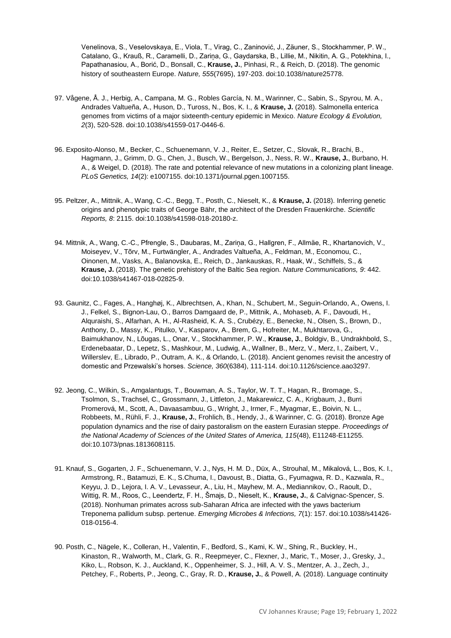Venelinova, S., Veselovskaya, E., Viola, T., Virag, C., Zaninović, J., Zäuner, S., Stockhammer, P. W., Catalano, G., Krauß, R., Caramelli, D., Zariņa, G., Gaydarska, B., Lillie, M., Nikitin, A. G., Potekhina, I., Papathanasiou, A., Borić, D., Bonsall, C., **Krause, J.**, Pinhasi, R., & Reich, D. (2018). The genomic history of southeastern Europe. *Nature, 555*(7695), 197-203. doi:10.1038/nature25778.

- 97. Vågene, Å. J., Herbig, A., Campana, M. G., Robles García, N. M., Warinner, C., Sabin, S., Spyrou, M. A., Andrades Valtueña, A., Huson, D., Tuross, N., Bos, K. I., & **Krause, J.** (2018). Salmonella enterica genomes from victims of a major sixteenth-century epidemic in Mexico. *Nature Ecology & Evolution, 2*(3), 520-528. doi:10.1038/s41559-017-0446-6.
- 96. Exposito-Alonso, M., Becker, C., Schuenemann, V. J., Reiter, E., Setzer, C., Slovak, R., Brachi, B., Hagmann, J., Grimm, D. G., Chen, J., Busch, W., Bergelson, J., Ness, R. W., **Krause, J.**, Burbano, H. A., & Weigel, D. (2018). The rate and potential relevance of new mutations in a colonizing plant lineage. *PLoS Genetics, 14*(2): e1007155. doi:10.1371/journal.pgen.1007155.
- 95. Peltzer, A., Mittnik, A., Wang, C.-C., Begg, T., Posth, C., Nieselt, K., & **Krause, J.** (2018). Inferring genetic origins and phenotypic traits of George Bähr, the architect of the Dresden Frauenkirche. *Scientific Reports, 8*: 2115. doi:10.1038/s41598-018-20180-z.
- 94. Mittnik, A., Wang, C.-C., Pfrengle, S., Daubaras, M., Zariņa, G., Hallgren, F., Allmäe, R., Khartanovich, V., Moiseyev, V., Tõrv, M., Furtwängler, A., Andrades Valtueña, A., Feldman, M., Economou, C., Oinonen, M., Vasks, A., Balanovska, E., Reich, D., Jankauskas, R., Haak, W., Schiffels, S., & **Krause, J.** (2018). The genetic prehistory of the Baltic Sea region. *Nature Communications, 9*: 442. doi:10.1038/s41467-018-02825-9.
- 93. Gaunitz, C., Fages, A., Hanghøj, K., Albrechtsen, A., Khan, N., Schubert, M., Seguin-Orlando, A., Owens, I. J., Felkel, S., Bignon-Lau, O., Barros Damgaard de, P., Mittnik, A., Mohaseb, A. F., Davoudi, H., Alquraishi, S., Alfarhan, A. H., Al-Rasheid, K. A. S., Crubézy, E., Benecke, N., Olsen, S., Brown, D., Anthony, D., Massy, K., Pitulko, V., Kasparov, A., Brem, G., Hofreiter, M., Mukhtarova, G., Baimukhanov, N., Lõugas, L., Onar, V., Stockhammer, P. W., **Krause, J.**, Boldgiv, B., Undrakhbold, S., Erdenebaatar, D., Lepetz, S., Mashkour, M., Ludwig, A., Wallner, B., Merz, V., Merz, I., Zaibert, V., Willerslev, E., Librado, P., Outram, A. K., & Orlando, L. (2018). Ancient genomes revisit the ancestry of domestic and Przewalski's horses. *Science, 360*(6384), 111-114. doi:10.1126/science.aao3297.
- 92. Jeong, C., Wilkin, S., Amgalantugs, T., Bouwman, A. S., Taylor, W. T. T., Hagan, R., Bromage, S., Tsolmon, S., Trachsel, C., Grossmann, J., Littleton, J., Makarewicz, C. A., Krigbaum, J., Burri Promerová, M., Scott, A., Davaasambuu, G., Wright, J., Irmer, F., Myagmar, E., Boivin, N. L., Robbeets, M., Rühli, F. J., **Krause, J.**, Frohlich, B., Hendy, J., & Warinner, C. G. (2018). Bronze Age population dynamics and the rise of dairy pastoralism on the eastern Eurasian steppe. *Proceedings of the National Academy of Sciences of the United States of America, 115*(48), E11248-E11255. doi:10.1073/pnas.1813608115.
- 91. Knauf, S., Gogarten, J. F., Schuenemann, V. J., Nys, H. M. D., Düx, A., Strouhal, M., Mikalová, L., Bos, K. I., Armstrong, R., Batamuzi, E. K., S.Chuma, I., Davoust, B., Diatta, G., Fyumagwa, R. D., Kazwala, R., Keyyu, J. D., Lejora, I. A. V., Levasseur, A., Liu, H., Mayhew, M. A., Mediannikov, O., Raoult, D., Wittig, R. M., Roos, C., Leendertz, F. H., Šmajs, D., Nieselt, K., **Krause, J.**, & Calvignac-Spencer, S. (2018). Nonhuman primates across sub-Saharan Africa are infected with the yaws bacterium Treponema pallidum subsp. pertenue. *Emerging Microbes & Infections, 7*(1): 157. doi:10.1038/s41426- 018-0156-4.
- 90. Posth, C., Nägele, K., Colleran, H., Valentin, F., Bedford, S., Kami, K. W., Shing, R., Buckley, H., Kinaston, R., Walworth, M., Clark, G. R., Reepmeyer, C., Flexner, J., Maric, T., Moser, J., Gresky, J., Kiko, L., Robson, K. J., Auckland, K., Oppenheimer, S. J., Hill, A. V. S., Mentzer, A. J., Zech, J., Petchey, F., Roberts, P., Jeong, C., Gray, R. D., **Krause, J.**, & Powell, A. (2018). Language continuity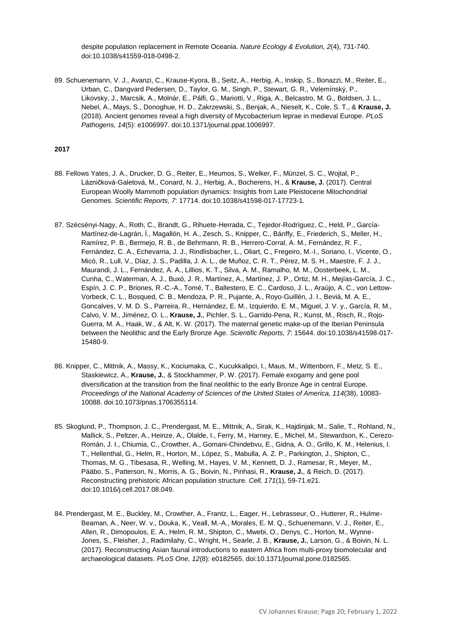despite population replacement in Remote Oceania. *Nature Ecology & Evolution, 2*(4), 731-740. doi:10.1038/s41559-018-0498-2.

89. Schuenemann, V. J., Avanzi, C., Krause-Kyora, B., Seitz, A., Herbig, A., Inskip, S., Bonazzi, M., Reiter, E., Urban, C., Dangvard Pedersen, D., Taylor, G. M., Singh, P., Stewart, G. R., Velemínský, P., Likovsky, J., Marcsik, A., Molnár, E., Pálfi, G., Mariotti, V., Riga, A., Belcastro, M. G., Boldsen, J. L., Nebel, A., Mays, S., Donoghue, H. D., Zakrzewski, S., Benjak, A., Nieselt, K., Cole, S. T., & **Krause, J.** (2018). Ancient genomes reveal a high diversity of Mycobacterium leprae in medieval Europe. *PLoS Pathogens, 14*(5): e1006997. doi:10.1371/journal.ppat.1006997.

- 88. Fellows Yates, J. A., Drucker, D. G., Reiter, E., Heumos, S., Welker, F., Münzel, S. C., Wojtal, P., Lázničková-Galetová, M., Conard, N. J., Herbig, A., Bocherens, H., & **Krause, J.** (2017). Central European Woolly Mammoth population dynamics: Insights from Late Pleistocene Mitochondrial Genomes. *Scientific Reports, 7*: 17714. doi:10.1038/s41598-017-17723-1.
- 87. Szécsényi-Nagy, A., Roth, C., Brandt, G., Rihuete-Herrada, C., Tejedor-Rodríguez, C., Held, P., García-Martínez-de-Lagrán, Í., Magallón, H. A., Zesch, S., Knipper, C., Bánffy, E., Friederich, S., Meller, H., Ramírez, P. B., Bermejo, R. B., de Behrmann, R. B., Herrero-Corral, A. M., Fernández, R. F., Fernández, C. A., Echevarria, J. J., Rindlisbacher, L., Oliart, C., Fregeiro, M.-I., Soriano, I., Vicente, O., Micó, R., Lull, V., Díaz, J. S., Padilla, J. A. L., de Muñoz, C. R. T., Pérez, M. S. H., Maestre, F. J. J., Maurandi, J. L., Fernández, A. A., Lillios, K. T., Silva, A. M., Ramalho, M. M., Oosterbeek, L. M., Cunha, C., Waterman, A. J., Buxó, J. R., Martínez, A., Martínez, J. P., Ortiz, M. H., Mejías-García, J. C., Espín, J. C. P., Briones, R.-C.-A., Tomé, T., Ballestero, E. C., Cardoso, J. L., Araújo, A. C., von Lettow-Vorbeck, C. L., Bosqued, C. B., Mendoza, P. R., Pujante, A., Royo-Guillén, J. I., Beviá, M. A. E., Goncalves, V. M. D. S., Parreira, R., Hernández, E. M., Izquierdo, E. M., Miguel, J. V. y., García, R. M., Calvo, V. M., Jiménez, O. L., **Krause, J.**, Pichler, S. L., Garrido-Pena, R., Kunst, M., Risch, R., Rojo-Guerra, M. A., Haak, W., & Alt, K. W. (2017). The maternal genetic make-up of the Iberian Peninsula between the Neolithic and the Early Bronze Age. *Scientific Reports, 7*: 15644. doi:10.1038/s41598-017- 15480-9.
- 86. Knipper, C., Mittnik, A., Massy, K., Kociumaka, C., Kucukkalipci, I., Maus, M., Wittenborn, F., Metz, S. E., Staskiewicz, A., **Krause, J.**, & Stockhammer, P. W. (2017). Female exogamy and gene pool diversification at the transition from the final neolithic to the early Bronze Age in central Europe. *Proceedings of the National Academy of Sciences of the United States of America, 114*(38), 10083- 10088. doi:10.1073/pnas.1706355114.
- 85. Skoglund, P., Thompson, J. C., Prendergast, M. E., Mittnik, A., Sirak, K., Hajdinjak, M., Salie, T., Rohland, N., Mallick, S., Peltzer, A., Heinze, A., Olalde, I., Ferry, M., Harney, E., Michel, M., Stewardson, K., Cerezo-Román, J. I., Chiumia, C., Crowther, A., Gomani-Chindebvu, E., Gidna, A. O., Grillo, K. M., Helenius, I. T., Hellenthal, G., Helm, R., Horton, M., López, S., Mabulla, A. Z. P., Parkington, J., Shipton, C., Thomas, M. G., Tibesasa, R., Welling, M., Hayes, V. M., Kennett, D. J., Ramesar, R., Meyer, M., Pääbo, S., Patterson, N., Morris, A. G., Boivin, N., Pinhasi, R., **Krause, J.**, & Reich, D. (2017). Reconstructing prehistoric African population structure. *Cell, 171*(1), 59-71.e21. doi:10.1016/j.cell.2017.08.049.
- 84. Prendergast, M. E., Buckley, M., Crowther, A., Frantz, L., Eager, H., Lebrasseur, O., Hutterer, R., Hulme-Beaman, A., Neer, W. v., Douka, K., Veall, M.-A., Morales, E. M. Q., Schuenemann, V. J., Reiter, E., Allen, R., Dimopoulos, E. A., Helm, R. M., Shipton, C., Mwebi, O., Denys, C., Horton, M., Wynne-Jones, S., Fleisher, J., Radimilahy, C., Wright, H., Searle, J. B., **Krause, J.**, Larson, G., & Boivin, N. L. (2017). Reconstructing Asian faunal introductions to eastern Africa from multi-proxy biomolecular and archaeological datasets. *PLoS One, 12*(8): e0182565. doi:10.1371/journal.pone.0182565.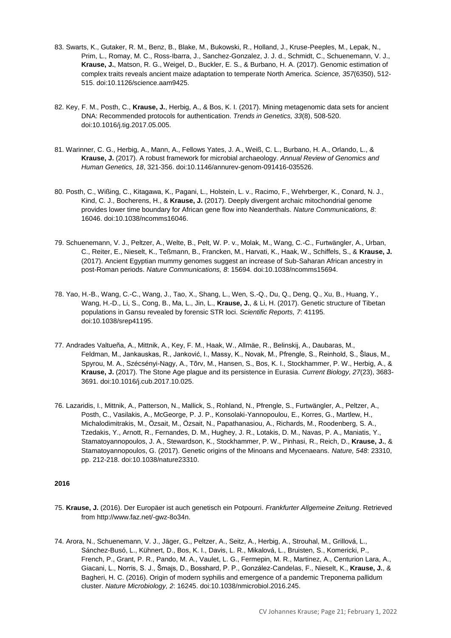- 83. Swarts, K., Gutaker, R. M., Benz, B., Blake, M., Bukowski, R., Holland, J., Kruse-Peeples, M., Lepak, N., Prim, L., Romay, M. C., Ross-Ibarra, J., Sanchez-Gonzalez, J. J. d., Schmidt, C., Schuenemann, V. J., **Krause, J.**, Matson, R. G., Weigel, D., Buckler, E. S., & Burbano, H. A. (2017). Genomic estimation of complex traits reveals ancient maize adaptation to temperate North America. *Science, 357*(6350), 512- 515. doi:10.1126/science.aam9425.
- 82. Key, F. M., Posth, C., **Krause, J.**, Herbig, A., & Bos, K. I. (2017). Mining metagenomic data sets for ancient DNA: Recommended protocols for authentication. *Trends in Genetics, 33*(8), 508-520. doi:10.1016/j.tig.2017.05.005.
- 81. Warinner, C. G., Herbig, A., Mann, A., Fellows Yates, J. A., Weiß, C. L., Burbano, H. A., Orlando, L., & **Krause, J.** (2017). A robust framework for microbial archaeology. *Annual Review of Genomics and Human Genetics, 18*, 321-356. doi:10.1146/annurev-genom-091416-035526.
- 80. Posth, C., Wißing, C., Kitagawa, K., Pagani, L., Holstein, L. v., Racimo, F., Wehrberger, K., Conard, N. J., Kind, C. J., Bocherens, H., & **Krause, J.** (2017). Deeply divergent archaic mitochondrial genome provides lower time boundary for African gene flow into Neanderthals. *Nature Communications, 8*: 16046. doi:10.1038/ncomms16046.
- 79. Schuenemann, V. J., Peltzer, A., Welte, B., Pelt, W. P. v., Molak, M., Wang, C.-C., Furtwängler, A., Urban, C., Reiter, E., Nieselt, K., Teßmann, B., Francken, M., Harvati, K., Haak, W., Schiffels, S., & **Krause, J.** (2017). Ancient Egyptian mummy genomes suggest an increase of Sub-Saharan African ancestry in post-Roman periods. *Nature Communications, 8*: 15694. doi:10.1038/ncomms15694.
- 78. Yao, H.-B., Wang, C.-C., Wang, J., Tao, X., Shang, L., Wen, S.-Q., Du, Q., Deng, Q., Xu, B., Huang, Y., Wang, H.-D., Li, S., Cong, B., Ma, L., Jin, L., **Krause, J.**, & Li, H. (2017). Genetic structure of Tibetan populations in Gansu revealed by forensic STR loci. *Scientific Reports, 7*: 41195. doi:10.1038/srep41195.
- 77. Andrades Valtueña, A., Mittnik, A., Key, F. M., Haak, W., Allmäe, R., Belinskij, A., Daubaras, M., Feldman, M., Jankauskas, R., Janković, I., Massy, K., Novak, M., Pfrengle, S., Reinhold, S., Šlaus, M., Spyrou, M. A., Szécsényi-Nagy, A., Tõrv, M., Hansen, S., Bos, K. I., Stockhammer, P. W., Herbig, A., & **Krause, J.** (2017). The Stone Age plague and its persistence in Eurasia. *Current Biology, 27*(23), 3683- 3691. doi:10.1016/j.cub.2017.10.025.
- 76. Lazaridis, I., Mittnik, A., Patterson, N., Mallick, S., Rohland, N., Pfrengle, S., Furtwängler, A., Peltzer, A., Posth, C., Vasilakis, A., McGeorge, P. J. P., Konsolaki-Yannopoulou, E., Korres, G., Martlew, H., Michalodimitrakis, M., Özsait, M., Özsait, N., Papathanasiou, A., Richards, M., Roodenberg, S. A., Tzedakis, Y., Arnott, R., Fernandes, D. M., Hughey, J. R., Lotakis, D. M., Navas, P. A., Maniatis, Y., Stamatoyannopoulos, J. A., Stewardson, K., Stockhammer, P. W., Pinhasi, R., Reich, D., **Krause, J.**, & Stamatoyannopoulos, G. (2017). Genetic origins of the Minoans and Mycenaeans. *Nature, 548*: 23310, pp. 212-218. doi:10.1038/nature23310.

- 75. **Krause, J.** (2016). Der Europäer ist auch genetisch ein Potpourri. *Frankfurter Allgemeine Zeitung*. Retrieved from http://www.faz.net/-gwz-8o34n.
- 74. Arora, N., Schuenemann, V. J., Jäger, G., Peltzer, A., Seitz, A., Herbig, A., Strouhal, M., Grillová, L., Sánchez-Busó, L., Kühnert, D., Bos, K. I., Davis, L. R., Mikalová, L., Bruisten, S., Komericki, P., French, P., Grant, P. R., Pando, M. A., Vaulet, L. G., Fermepin, M. R., Martinez, A., Centurion Lara, A., Giacani, L., Norris, S. J., Šmajs, D., Bosshard, P. P., González-Candelas, F., Nieselt, K., **Krause, J.**, & Bagheri, H. C. (2016). Origin of modern syphilis and emergence of a pandemic Treponema pallidum cluster. *Nature Microbiology, 2*: 16245. doi:10.1038/nmicrobiol.2016.245.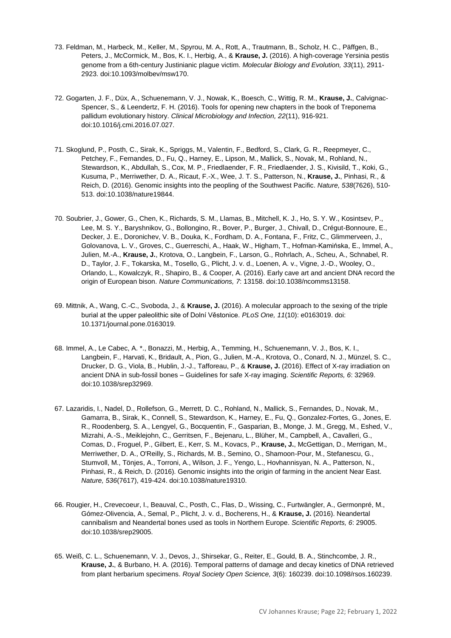- 73. Feldman, M., Harbeck, M., Keller, M., Spyrou, M. A., Rott, A., Trautmann, B., Scholz, H. C., Päffgen, B., Peters, J., McCormick, M., Bos, K. I., Herbig, A., & **Krause, J.** (2016). A high-coverage Yersinia pestis genome from a 6th-century Justinianic plague victim. *Molecular Biology and Evolution, 33*(11), 2911- 2923. doi:10.1093/molbev/msw170.
- 72. Gogarten, J. F., Düx, A., Schuenemann, V. J., Nowak, K., Boesch, C., Wittig, R. M., **Krause, J.**, Calvignac-Spencer, S., & Leendertz, F. H. (2016). Tools for opening new chapters in the book of Treponema pallidum evolutionary history. *Clinical Microbiology and Infection, 22*(11), 916-921. doi:10.1016/j.cmi.2016.07.027.
- 71. Skoglund, P., Posth, C., Sirak, K., Spriggs, M., Valentin, F., Bedford, S., Clark, G. R., Reepmeyer, C., Petchey, F., Fernandes, D., Fu, Q., Harney, E., Lipson, M., Mallick, S., Novak, M., Rohland, N., Stewardson, K., Abdullah, S., Cox, M. P., Friedlaender, F. R., Friedlaender, J. S., Kivisild, T., Koki, G., Kusuma, P., Merriwether, D. A., Ricaut, F.-X., Wee, J. T. S., Patterson, N., **Krause, J.**, Pinhasi, R., & Reich, D. (2016). Genomic insights into the peopling of the Southwest Pacific. *Nature, 538*(7626), 510- 513. doi:10.1038/nature19844.
- 70. Soubrier, J., Gower, G., Chen, K., Richards, S. M., Llamas, B., Mitchell, K. J., Ho, S. Y. W., Kosintsev, P., Lee, M. S. Y., Baryshnikov, G., Bollongino, R., Bover, P., Burger, J., Chivall, D., Crégut-Bonnoure, E., Decker, J. E., Doronichev, V. B., Douka, K., Fordham, D. A., Fontana, F., Fritz, C., Glimmerveen, J., Golovanova, L. V., Groves, C., Guerreschi, A., Haak, W., Higham, T., Hofman-Kamińska, E., Immel, A., Julien, M.-A., **Krause, J.**, Krotova, O., Langbein, F., Larson, G., Rohrlach, A., Scheu, A., Schnabel, R. D., Taylor, J. F., Tokarska, M., Tosello, G., Plicht, J. v. d., Loenen, A. v., Vigne, J.-D., Wooley, O., Orlando, L., Kowalczyk, R., Shapiro, B., & Cooper, A. (2016). Early cave art and ancient DNA record the origin of European bison. *Nature Communications, 7*: 13158. doi:10.1038/ncomms13158.
- 69. Mittnik, A., Wang, C.-C., Svoboda, J., & **Krause, J.** (2016). A molecular approach to the sexing of the triple burial at the upper paleolithic site of Dolní Věstonice. *PLoS One, 11*(10): e0163019. doi: 10.1371/journal.pone.0163019.
- 68. Immel, A., Le Cabec, A. \*., Bonazzi, M., Herbig, A., Temming, H., Schuenemann, V. J., Bos, K. I., Langbein, F., Harvati, K., Bridault, A., Pion, G., Julien, M.-A., Krotova, O., Conard, N. J., Münzel, S. C., Drucker, D. G., Viola, B., Hublin, J.-J., Tafforeau, P., & **Krause, J.** (2016). Effect of X-ray irradiation on ancient DNA in sub-fossil bones – Guidelines for safe X-ray imaging. *Scientific Reports, 6*: 32969. doi:10.1038/srep32969.
- 67. Lazaridis, I., Nadel, D., Rollefson, G., Merrett, D. C., Rohland, N., Mallick, S., Fernandes, D., Novak, M., Gamarra, B., Sirak, K., Connell, S., Stewardson, K., Harney, E., Fu, Q., Gonzalez-Fortes, G., Jones, E. R., Roodenberg, S. A., Lengyel, G., Bocquentin, F., Gasparian, B., Monge, J. M., Gregg, M., Eshed, V., Mizrahi, A.-S., Meiklejohn, C., Gerritsen, F., Bejenaru, L., Blüher, M., Campbell, A., Cavalleri, G., Comas, D., Froguel, P., Gilbert, E., Kerr, S. M., Kovacs, P., **Krause, J.**, McGettigan, D., Merrigan, M., Merriwether, D. A., O'Reilly, S., Richards, M. B., Semino, O., Shamoon-Pour, M., Stefanescu, G., Stumvoll, M., Tönjes, A., Torroni, A., Wilson, J. F., Yengo, L., Hovhannisyan, N. A., Patterson, N., Pinhasi, R., & Reich, D. (2016). Genomic insights into the origin of farming in the ancient Near East. *Nature, 536*(7617), 419-424. doi:10.1038/nature19310.
- 66. Rougier, H., Crevecoeur, I., Beauval, C., Posth, C., Flas, D., Wissing, C., Furtwängler, A., Germonpré, M., Gómez-Olivencia, A., Semal, P., Plicht, J. v. d., Bocherens, H., & **Krause, J.** (2016). Neandertal cannibalism and Neandertal bones used as tools in Northern Europe. *Scientific Reports, 6*: 29005. doi:10.1038/srep29005.
- 65. Weiß, C. L., Schuenemann, V. J., Devos, J., Shirsekar, G., Reiter, E., Gould, B. A., Stinchcombe, J. R., **Krause, J.**, & Burbano, H. A. (2016). Temporal patterns of damage and decay kinetics of DNA retrieved from plant herbarium specimens. *Royal Society Open Science, 3*(6): 160239. doi:10.1098/rsos.160239.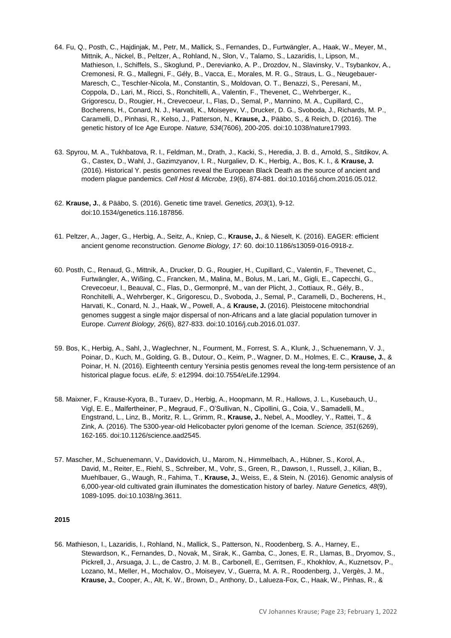- 64. Fu, Q., Posth, C., Hajdinjak, M., Petr, M., Mallick, S., Fernandes, D., Furtwängler, A., Haak, W., Meyer, M., Mittnik, A., Nickel, B., Peltzer, A., Rohland, N., Slon, V., Talamo, S., Lazaridis, I., Lipson, M., Mathieson, I., Schiffels, S., Skoglund, P., Derevianko, A. P., Drozdov, N., Slavinsky, V., Tsybankov, A., Cremonesi, R. G., Mallegni, F., Gély, B., Vacca, E., Morales, M. R. G., Straus, L. G., Neugebauer-Maresch, C., Teschler-Nicola, M., Constantin, S., Moldovan, O. T., Benazzi, S., Peresani, M., Coppola, D., Lari, M., Ricci, S., Ronchitelli, A., Valentin, F., Thevenet, C., Wehrberger, K., Grigorescu, D., Rougier, H., Crevecoeur, I., Flas, D., Semal, P., Mannino, M. A., Cupillard, C., Bocherens, H., Conard, N. J., Harvati, K., Moiseyev, V., Drucker, D. G., Svoboda, J., Richards, M. P., Caramelli, D., Pinhasi, R., Kelso, J., Patterson, N., **Krause, J.**, Pääbo, S., & Reich, D. (2016). The genetic history of Ice Age Europe. *Nature, 534*(7606), 200-205. doi:10.1038/nature17993.
- 63. Spyrou, M. A., Tukhbatova, R. I., Feldman, M., Drath, J., Kacki, S., Heredia, J. B. d., Arnold, S., Sitdikov, A. G., Castex, D., Wahl, J., Gazimzyanov, I. R., Nurgaliev, D. K., Herbig, A., Bos, K. I., & **Krause, J.** (2016). Historical Y. pestis genomes reveal the European Black Death as the source of ancient and modern plague pandemics. *Cell Host & Microbe, 19*(6), 874-881. doi:10.1016/j.chom.2016.05.012.
- 62. **Krause, J.**, & Pääbo, S. (2016). Genetic time travel. *Genetics, 203*(1), 9-12. doi:10.1534/genetics.116.187856.
- 61. Peltzer, A., Jager, G., Herbig, A., Seitz, A., Kniep, C., **Krause, J.**, & Nieselt, K. (2016). EAGER: efficient ancient genome reconstruction. *Genome Biology, 17*: 60. doi:10.1186/s13059-016-0918-z.
- 60. Posth, C., Renaud, G., Mittnik, A., Drucker, D. G., Rougier, H., Cupillard, C., Valentin, F., Thevenet, C., Furtwängler, A., Wißing, C., Francken, M., Malina, M., Bolus, M., Lari, M., Gigli, E., Capecchi, G., Crevecoeur, I., Beauval, C., Flas, D., Germonpré, M., van der Plicht, J., Cottiaux, R., Gély, B., Ronchitelli, A., Wehrberger, K., Grigorescu, D., Svoboda, J., Semal, P., Caramelli, D., Bocherens, H., Harvati, K., Conard, N. J., Haak, W., Powell, A., & **Krause, J.** (2016). Pleistocene mitochondrial genomes suggest a single major dispersal of non-Africans and a late glacial population turnover in Europe. *Current Biology, 26*(6), 827-833. doi:10.1016/j.cub.2016.01.037.
- 59. Bos, K., Herbig, A., Sahl, J., Waglechner, N., Fourment, M., Forrest, S. A., Klunk, J., Schuenemann, V. J., Poinar, D., Kuch, M., Golding, G. B., Dutour, O., Keim, P., Wagner, D. M., Holmes, E. C., **Krause, J.**, & Poinar, H. N. (2016). Eighteenth century Yersinia pestis genomes reveal the long-term persistence of an historical plague focus. *eLife, 5*: e12994. doi:10.7554/eLife.12994.
- 58. Maixner, F., Krause-Kyora, B., Turaev, D., Herbig, A., Hoopmann, M. R., Hallows, J. L., Kusebauch, U., Vigl, E. E., Malfertheiner, P., Megraud, F., O'Sullivan, N., Cipollini, G., Coia, V., Samadelli, M., Engstrand, L., Linz, B., Moritz, R. L., Grimm, R., **Krause, J.**, Nebel, A., Moodley, Y., Rattei, T., & Zink, A. (2016). The 5300-year-old Helicobacter pylori genome of the Iceman. *Science, 351*(6269), 162-165. doi:10.1126/science.aad2545.
- 57. Mascher, M., Schuenemann, V., Davidovich, U., Marom, N., Himmelbach, A., Hübner, S., Korol, A., David, M., Reiter, E., Riehl, S., Schreiber, M., Vohr, S., Green, R., Dawson, I., Russell, J., Kilian, B., Muehlbauer, G., Waugh, R., Fahima, T., **Krause, J.**, Weiss, E., & Stein, N. (2016). Genomic analysis of 6,000-year-old cultivated grain illuminates the domestication history of barley. *Nature Genetics, 48*(9), 1089-1095. doi:10.1038/ng.3611.

56. Mathieson, I., Lazaridis, I., Rohland, N., Mallick, S., Patterson, N., Roodenberg, S. A., Harney, E., Stewardson, K., Fernandes, D., Novak, M., Sirak, K., Gamba, C., Jones, E. R., Llamas, B., Dryomov, S., Pickrell, J., Arsuaga, J. L., de Castro, J. M. B., Carbonell, E., Gerritsen, F., Khokhlov, A., Kuznetsov, P., Lozano, M., Meller, H., Mochalov, O., Moiseyev, V., Guerra, M. A. R., Roodenberg, J., Vergès, J. M., **Krause, J.**, Cooper, A., Alt, K. W., Brown, D., Anthony, D., Lalueza-Fox, C., Haak, W., Pinhas, R., &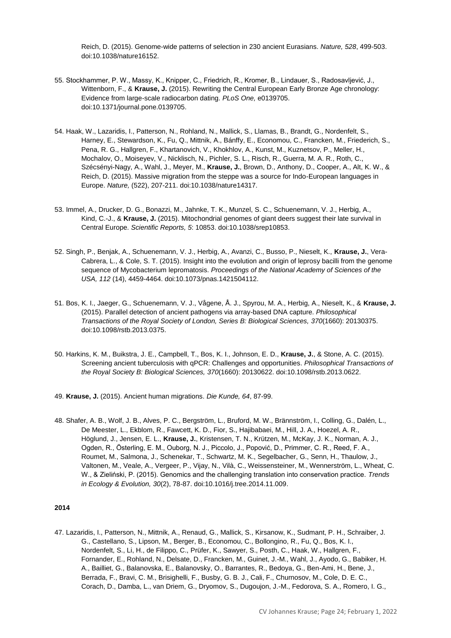Reich, D. (2015). Genome-wide patterns of selection in 230 ancient Eurasians. *Nature, 528*, 499-503. doi:10.1038/nature16152.

- 55. Stockhammer, P. W., Massy, K., Knipper, C., Friedrich, R., Kromer, B., Lindauer, S., Radosavljević, J., Wittenborn, F., & **Krause, J.** (2015). Rewriting the Central European Early Bronze Age chronology: Evidence from large-scale radiocarbon dating. *PLoS One,* e0139705. doi:10.1371/journal.pone.0139705.
- 54. Haak, W., Lazaridis, I., Patterson, N., Rohland, N., Mallick, S., Llamas, B., Brandt, G., Nordenfelt, S., Harney, E., Stewardson, K., Fu, Q., Mittnik, A., Bánffy, E., Economou, C., Francken, M., Friederich, S., Pena, R. G., Hallgren, F., Khartanovich, V., Khokhlov, A., Kunst, M., Kuznetsov, P., Meller, H., Mochalov, O., Moiseyev, V., Nicklisch, N., Pichler, S. L., Risch, R., Guerra, M. A. R., Roth, C., Szécsényi-Nagy, A., Wahl, J., Meyer, M., **Krause, J.**, Brown, D., Anthony, D., Cooper, A., Alt, K. W., & Reich, D. (2015). Massive migration from the steppe was a source for Indo-European languages in Europe. *Nature,* (522), 207-211. doi:10.1038/nature14317.
- 53. Immel, A., Drucker, D. G., Bonazzi, M., Jahnke, T. K., Munzel, S. C., Schuenemann, V. J., Herbig, A., Kind, C.-J., & **Krause, J.** (2015). Mitochondrial genomes of giant deers suggest their late survival in Central Europe. *Scientific Reports, 5*: 10853. doi:10.1038/srep10853.
- 52. Singh, P., Benjak, A., Schuenemann, V. J., Herbig, A., Avanzi, C., Busso, P., Nieselt, K., **Krause, J.**, Vera-Cabrera, L., & Cole, S. T. (2015). Insight into the evolution and origin of leprosy bacilli from the genome sequence of Mycobacterium lepromatosis. *Proceedings of the National Academy of Sciences of the USA, 112* (14), 4459-4464. doi:10.1073/pnas.1421504112.
- 51. Bos, K. I., Jaeger, G., Schuenemann, V. J., Vågene, Å. J., Spyrou, M. A., Herbig, A., Nieselt, K., & **Krause, J.** (2015). Parallel detection of ancient pathogens via array-based DNA capture. *Philosophical Transactions of the Royal Society of London, Series B: Biological Sciences, 370*(1660): 20130375. doi:10.1098/rstb.2013.0375.
- 50. Harkins, K. M., Buikstra, J. E., Campbell, T., Bos, K. I., Johnson, E. D., **Krause, J.**, & Stone, A. C. (2015). Screening ancient tuberculosis with qPCR: Challenges and opportunities. *Philosophical Transactions of the Royal Society B: Biological Sciences, 370*(1660): 20130622. doi:10.1098/rstb.2013.0622.
- 49. **Krause, J.** (2015). Ancient human migrations. *Die Kunde, 64*, 87-99.
- 48. Shafer, A. B., Wolf, J. B., Alves, P. C., Bergström, L., Bruford, M. W., Brännström, I., Colling, G., Dalén, L., De Meester, L., Ekblom, R., Fawcett, K. D., Fior, S., Hajibabaei, M., Hill, J. A., Hoezel, A. R., Höglund, J., Jensen, E. L., **Krause, J.**, Kristensen, T. N., Krützen, M., McKay, J. K., Norman, A. J., Ogden, R., Österling, E. M., Ouborg, N. J., Piccolo, J., Popović, D., Primmer, C. R., Reed, F. A., Roumet, M., Salmona, J., Schenekar, T., Schwartz, M. K., Segelbacher, G., Senn, H., Thaulow, J., Valtonen, M., Veale, A., Vergeer, P., Vijay, N., Vilà, C., Weissensteiner, M., Wennerström, L., Wheat, C. W., & Zieliński, P. (2015). Genomics and the challenging translation into conservation practice. *Trends in Ecology & Evolution, 30*(2), 78-87. doi:10.1016/j.tree.2014.11.009.

#### **2014**

47. Lazaridis, I., Patterson, N., Mittnik, A., Renaud, G., Mallick, S., Kirsanow, K., Sudmant, P. H., Schraiber, J. G., Castellano, S., Lipson, M., Berger, B., Economou, C., Bollongino, R., Fu, Q., Bos, K. I., Nordenfelt, S., Li, H., de Filippo, C., Prüfer, K., Sawyer, S., Posth, C., Haak, W., Hallgren, F., Fornander, E., Rohland, N., Delsate, D., Francken, M., Guinet, J.-M., Wahl, J., Ayodo, G., Babiker, H. A., Bailliet, G., Balanovska, E., Balanovsky, O., Barrantes, R., Bedoya, G., Ben-Ami, H., Bene, J., Berrada, F., Bravi, C. M., Brisighelli, F., Busby, G. B. J., Cali, F., Churnosov, M., Cole, D. E. C., Corach, D., Damba, L., van Driem, G., Dryomov, S., Dugoujon, J.-M., Fedorova, S. A., Romero, I. G.,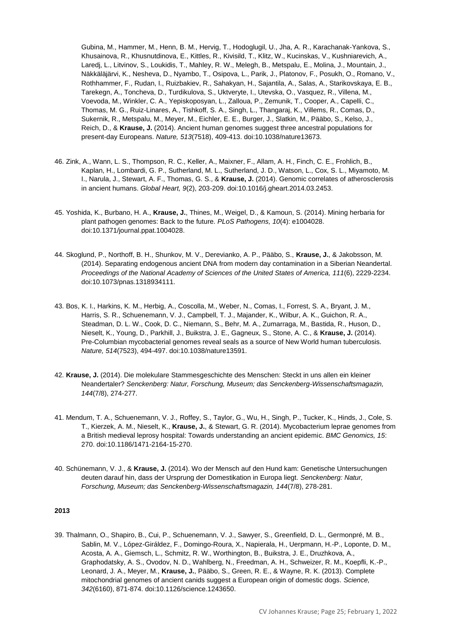Gubina, M., Hammer, M., Henn, B. M., Hervig, T., Hodoglugil, U., Jha, A. R., Karachanak-Yankova, S., Khusainova, R., Khusnutdinova, E., Kittles, R., Kivisild, T., Klitz, W., Kucinskas, V., Kushniarevich, A., Laredj, L., Litvinov, S., Loukidis, T., Mahley, R. W., Melegh, B., Metspalu, E., Molina, J., Mountain, J., Näkkäläjärvi, K., Nesheva, D., Nyambo, T., Osipova, L., Parik, J., Platonov, F., Posukh, O., Romano, V., Rothhammer, F., Rudan, I., Ruizbakiev, R., Sahakyan, H., Sajantila, A., Salas, A., Starikovskaya, E. B., Tarekegn, A., Toncheva, D., Turdikulova, S., Uktveryte, I., Utevska, O., Vasquez, R., Villena, M., Voevoda, M., Winkler, C. A., Yepiskoposyan, L., Zalloua, P., Zemunik, T., Cooper, A., Capelli, C., Thomas, M. G., Ruiz-Linares, A., Tishkoff, S. A., Singh, L., Thangaraj, K., Villems, R., Comas, D., Sukernik, R., Metspalu, M., Meyer, M., Eichler, E. E., Burger, J., Slatkin, M., Pääbo, S., Kelso, J., Reich, D., & **Krause, J.** (2014). Ancient human genomes suggest three ancestral populations for present-day Europeans. *Nature, 513*(7518), 409-413. doi:10.1038/nature13673.

- 46. Zink, A., Wann, L. S., Thompson, R. C., Keller, A., Maixner, F., Allam, A. H., Finch, C. E., Frohlich, B., Kaplan, H., Lombardi, G. P., Sutherland, M. L., Sutherland, J. D., Watson, L., Cox, S. L., Miyamoto, M. I., Narula, J., Stewart, A. F., Thomas, G. S., & **Krause, J.** (2014). Genomic correlates of atherosclerosis in ancient humans. *Global Heart, 9*(2), 203-209. doi:10.1016/j.gheart.2014.03.2453.
- 45. Yoshida, K., Burbano, H. A., **Krause, J.**, Thines, M., Weigel, D., & Kamoun, S. (2014). Mining herbaria for plant pathogen genomes: Back to the future. *PLoS Pathogens, 10*(4): e1004028. doi:10.1371/journal.ppat.1004028.
- 44. Skoglund, P., Northoff, B. H., Shunkov, M. V., Derevianko, A. P., Pääbo, S., **Krause, J.**, & Jakobsson, M. (2014). Separating endogenous ancient DNA from modern day contamination in a Siberian Neandertal. *Proceedings of the National Academy of Sciences of the United States of America, 111*(6), 2229-2234. doi:10.1073/pnas.1318934111.
- 43. Bos, K. I., Harkins, K. M., Herbig, A., Coscolla, M., Weber, N., Comas, I., Forrest, S. A., Bryant, J. M., Harris, S. R., Schuenemann, V. J., Campbell, T. J., Majander, K., Wilbur, A. K., Guichon, R. A., Steadman, D. L. W., Cook, D. C., Niemann, S., Behr, M. A., Zumarraga, M., Bastida, R., Huson, D., Nieselt, K., Young, D., Parkhill, J., Buikstra, J. E., Gagneux, S., Stone, A. C., & **Krause, J.** (2014). Pre-Columbian mycobacterial genomes reveal seals as a source of New World human tuberculosis. *Nature, 514*(7523), 494-497. doi:10.1038/nature13591.
- 42. **Krause, J.** (2014). Die molekulare Stammesgeschichte des Menschen: Steckt in uns allen ein kleiner Neandertaler? *Senckenberg: Natur, Forschung, Museum; das Senckenberg-Wissenschaftsmagazin, 144*(7/8), 274-277.
- 41. Mendum, T. A., Schuenemann, V. J., Roffey, S., Taylor, G., Wu, H., Singh, P., Tucker, K., Hinds, J., Cole, S. T., Kierzek, A. M., Nieselt, K., **Krause, J.**, & Stewart, G. R. (2014). Mycobacterium leprae genomes from a British medieval leprosy hospital: Towards understanding an ancient epidemic. *BMC Genomics, 15*: 270. doi:10.1186/1471-2164-15-270.
- 40. Schünemann, V. J., & **Krause, J.** (2014). Wo der Mensch auf den Hund kam: Genetische Untersuchungen deuten darauf hin, dass der Ursprung der Domestikation in Europa liegt. *Senckenberg: Natur, Forschung, Museum; das Senckenberg-Wissenschaftsmagazin, 144*(7/8), 278-281.

### **2013**

39. Thalmann, O., Shapiro, B., Cui, P., Schuenemann, V. J., Sawyer, S., Greenfield, D. L., Germonpré, M. B., Sablin, M. V., López-Giráldez, F., Domingo-Roura, X., Napierala, H., Uerpmann, H.-P., Loponte, D. M., Acosta, A. A., Giemsch, L., Schmitz, R. W., Worthington, B., Buikstra, J. E., Druzhkova, A., Graphodatsky, A. S., Ovodov, N. D., Wahlberg, N., Freedman, A. H., Schweizer, R. M., Koepfli, K.-P., Leonard, J. A., Meyer, M., **Krause, J.**, Pääbo, S., Green, R. E., & Wayne, R. K. (2013). Complete mitochondrial genomes of ancient canids suggest a European origin of domestic dogs. *Science, 342*(6160), 871-874. doi:10.1126/science.1243650.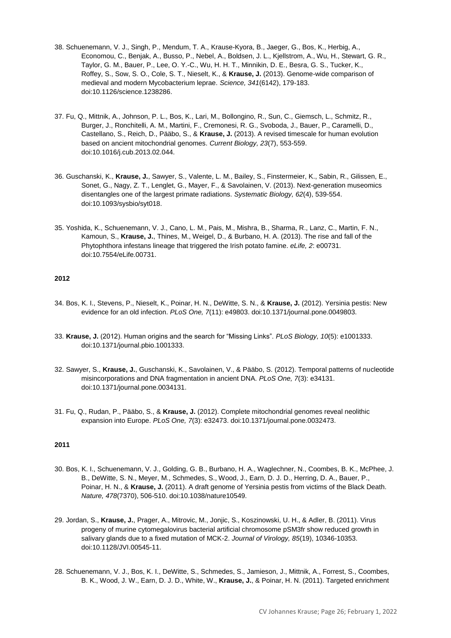- 38. Schuenemann, V. J., Singh, P., Mendum, T. A., Krause-Kyora, B., Jaeger, G., Bos, K., Herbig, A., Economou, C., Benjak, A., Busso, P., Nebel, A., Boldsen, J. L., Kjellstrom, A., Wu, H., Stewart, G. R., Taylor, G. M., Bauer, P., Lee, O. Y.-C., Wu, H. H. T., Minnikin, D. E., Besra, G. S., Tucker, K., Roffey, S., Sow, S. O., Cole, S. T., Nieselt, K., & **Krause, J.** (2013). Genome-wide comparison of medieval and modern Mycobacterium leprae. *Science, 341*(6142), 179-183. doi:10.1126/science.1238286.
- 37. Fu, Q., Mittnik, A., Johnson, P. L., Bos, K., Lari, M., Bollongino, R., Sun, C., Giemsch, L., Schmitz, R., Burger, J., Ronchitelli, A. M., Martini, F., Cremonesi, R. G., Svoboda, J., Bauer, P., Caramelli, D., Castellano, S., Reich, D., Pääbo, S., & **Krause, J.** (2013). A revised timescale for human evolution based on ancient mitochondrial genomes. *Current Biology, 23*(7), 553-559. doi:10.1016/j.cub.2013.02.044.
- 36. Guschanski, K., **Krause, J.**, Sawyer, S., Valente, L. M., Bailey, S., Finstermeier, K., Sabin, R., Gilissen, E., Sonet, G., Nagy, Z. T., Lenglet, G., Mayer, F., & Savolainen, V. (2013). Next-generation museomics disentangles one of the largest primate radiations. *Systematic Biology, 62*(4), 539-554. doi:10.1093/sysbio/syt018.
- 35. Yoshida, K., Schuenemann, V. J., Cano, L. M., Pais, M., Mishra, B., Sharma, R., Lanz, C., Martin, F. N., Kamoun, S., **Krause, J.**, Thines, M., Weigel, D., & Burbano, H. A. (2013). The rise and fall of the Phytophthora infestans lineage that triggered the Irish potato famine. *eLife, 2*: e00731. doi:10.7554/eLife.00731.

- 34. Bos, K. I., Stevens, P., Nieselt, K., Poinar, H. N., DeWitte, S. N., & **Krause, J.** (2012). Yersinia pestis: New evidence for an old infection. *PLoS One, 7*(11): e49803. doi:10.1371/journal.pone.0049803.
- 33. **Krause, J.** (2012). Human origins and the search for "Missing Links". *PLoS Biology, 10*(5): e1001333. doi:10.1371/journal.pbio.1001333.
- 32. Sawyer, S., **Krause, J.**, Guschanski, K., Savolainen, V., & Pääbo, S. (2012). Temporal patterns of nucleotide misincorporations and DNA fragmentation in ancient DNA. *PLoS One, 7*(3): e34131. doi:10.1371/journal.pone.0034131.
- 31. Fu, Q., Rudan, P., Pääbo, S., & **Krause, J.** (2012). Complete mitochondrial genomes reveal neolithic expansion into Europe. *PLoS One, 7*(3): e32473. doi:10.1371/journal.pone.0032473.

- 30. Bos, K. I., Schuenemann, V. J., Golding, G. B., Burbano, H. A., Waglechner, N., Coombes, B. K., McPhee, J. B., DeWitte, S. N., Meyer, M., Schmedes, S., Wood, J., Earn, D. J. D., Herring, D. A., Bauer, P., Poinar, H. N., & **Krause, J.** (2011). A draft genome of Yersinia pestis from victims of the Black Death. *Nature, 478*(7370), 506-510. doi:10.1038/nature10549.
- 29. Jordan, S., **Krause, J.**, Prager, A., Mitrovic, M., Jonjic, S., Koszinowski, U. H., & Adler, B. (2011). Virus progeny of murine cytomegalovirus bacterial artificial chromosome pSM3fr show reduced growth in salivary glands due to a fixed mutation of MCK-2. *Journal of Virology, 85*(19), 10346-10353. doi:10.1128/JVI.00545-11.
- 28. Schuenemann, V. J., Bos, K. I., DeWitte, S., Schmedes, S., Jamieson, J., Mittnik, A., Forrest, S., Coombes, B. K., Wood, J. W., Earn, D. J. D., White, W., **Krause, J.**, & Poinar, H. N. (2011). Targeted enrichment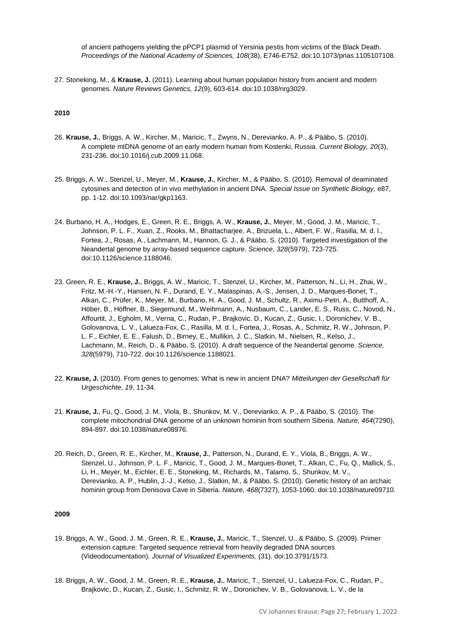of ancient pathogens yielding the pPCP1 plasmid of Yersinia pestis from victims of the Black Death. *Proceedings of the National Academy of Sciences, 108*(38), E746-E752. doi:10.1073/pnas.1105107108.

27. Stoneking, M., & **Krause, J.** (2011). Learning about human population history from ancient and modern genomes. *Nature Reviews Genetics, 12*(9), 603-614. doi:10.1038/nrg3029.

### **2010**

- 26. **Krause, J.**, Briggs, A. W., Kircher, M., Maricic, T., Zwyns, N., Derevianko, A. P., & Pääbo, S. (2010). A complete mtDNA genome of an early modern human from Kostenki, Russia. *Current Biology, 20*(3), 231-236. doi:10.1016/j.cub.2009.11.068.
- 25. Briggs, A. W., Stenzel, U., Meyer, M., **Krause, J.**, Kircher, M., & Pääbo, S. (2010). Removal of deaminated cytosines and detection of in vivo methylation in ancient DNA. *Special Issue on Synthetic Biology,* e87, pp. 1-12. doi:10.1093/nar/gkp1163.
- 24. Burbano, H. A., Hodges, E., Green, R. E., Briggs, A. W., **Krause, J.**, Meyer, M., Good, J. M., Maricic, T., Johnson, P. L. F., Xuan, Z., Rooks, M., Bhattacharjee, A., Brizuela, L., Albert, F. W., Rasilla, M. d. l., Fortea, J., Rosas, A., Lachmann, M., Hannon, G. J., & Pääbo, S. (2010). Targeted investigation of the Neandertal genome by array-based sequence capture. *Science, 328*(5979), 723-725. doi:10.1126/science.1188046.
- 23. Green, R. E., **Krause, J.**, Briggs, A. W., Maricic, T., Stenzel, U., Kircher, M., Patterson, N., Li, H., Zhai, W., Fritz, M.-H.-Y., Hansen, N. F., Durand, E. Y., Malaspinas, A.-S., Jensen, J. D., Marques-Bonet, T., Alkan, C., Prüfer, K., Meyer, M., Burbano, H. A., Good, J. M., Schultz, R., Aximu-Petri, A., Butthoff, A., Höber, B., Höffner, B., Siegemund, M., Weihmann, A., Nusbaum, C., Lander, E. S., Russ, C., Novod, N., Affourtit, J., Egholm, M., Verna, C., Rudan, P., Brajkovic, D., Kucan, Z., Gusic, I., Doronichev, V. B., Golovanova, L. V., Lalueza-Fox, C., Rasilla, M. d. l., Fortea, J., Rosas, A., Schmitz, R. W., Johnson, P. L. F., Eichler, E. E., Falush, D., Birney, E., Mullikin, J. C., Slatkin, M., Nielsen, R., Kelso, J., Lachmann, M., Reich, D., & Pääbo, S. (2010). A draft sequence of the Neandertal genome. *Science, 328*(5979), 710-722. doi:10.1126/science.1188021.
- 22. **Krause, J.** (2010). From genes to genomes: What is new in ancient DNA? *Mitteilungen der Gesellschaft für Urgeschichte, 19*, 11-34.
- 21. **Krause, J.**, Fu, Q., Good, J. M., Viola, B., Shunkov, M. V., Derevianko, A. P., & Pääbo, S. (2010). The complete mitochondrial DNA genome of an unknown hominin from southern Siberia. *Nature, 464*(7290), 894-897. doi:10.1038/nature08976.
- 20. Reich, D., Green, R. E., Kircher, M., **Krause, J.**, Patterson, N., Durand, E. Y., Viola, B., Briggs, A. W., Stenzel, U., Johnson, P. L. F., Maricic, T., Good, J. M., Marques-Bonet, T., Alkan, C., Fu, Q., Mallick, S., Li, H., Meyer, M., Eichler, E. E., Stoneking, M., Richards, M., Talamo, S., Shunkov, M. V., Derevianko, A. P., Hublin, J.-J., Kelso, J., Slatkin, M., & Pääbo, S. (2010). Genetic history of an archaic hominin group from Denisova Cave in Siberia. *Nature, 468*(7327), 1053-1060. doi:10.1038/nature09710.

- 19. Briggs, A. W., Good, J. M., Green, R. E., **Krause, J.**, Maricic, T., Stenzel, U., & Pääbo, S. (2009). Primer extension capture: Targeted sequence retrieval from heavily degraded DNA sources (Videodocumentation). *Journal of Visualized Experiments,* (31). doi:10.3791/1573.
- 18. Briggs, A. W., Good, J. M., Green, R. E., **Krause, J.**, Maricic, T., Stenzel, U., Lalueza-Fox, C., Rudan, P., Brajkovic, D., Kucan, Z., Gusic, I., Schmitz, R. W., Doronichev, V. B., Golovanova, L. V., de la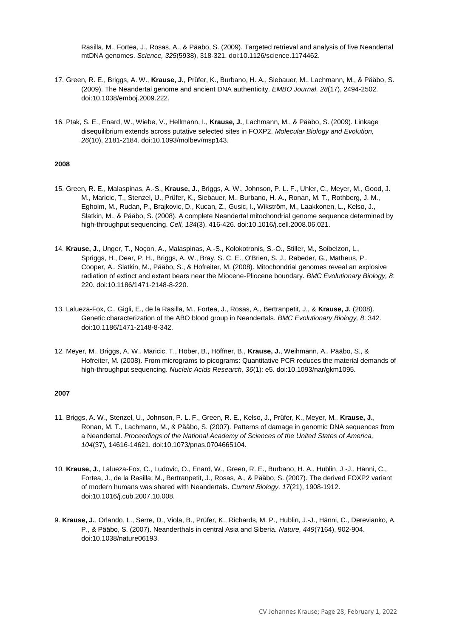Rasilla, M., Fortea, J., Rosas, A., & Pääbo, S. (2009). Targeted retrieval and analysis of five Neandertal mtDNA genomes. *Science, 325*(5938), 318-321. doi:10.1126/science.1174462.

- 17. Green, R. E., Briggs, A. W., **Krause, J.**, Prüfer, K., Burbano, H. A., Siebauer, M., Lachmann, M., & Pääbo, S. (2009). The Neandertal genome and ancient DNA authenticity. *EMBO Journal, 28*(17), 2494-2502. doi:10.1038/emboj.2009.222.
- 16. Ptak, S. E., Enard, W., Wiebe, V., Hellmann, I., **Krause, J.**, Lachmann, M., & Pääbo, S. (2009). Linkage disequilibrium extends across putative selected sites in FOXP2. *Molecular Biology and Evolution, 26*(10), 2181-2184. doi:10.1093/molbev/msp143.

#### **2008**

- 15. Green, R. E., Malaspinas, A.-S., **Krause, J.**, Briggs, A. W., Johnson, P. L. F., Uhler, C., Meyer, M., Good, J. M., Maricic, T., Stenzel, U., Prüfer, K., Siebauer, M., Burbano, H. A., Ronan, M. T., Rothberg, J. M., Egholm, M., Rudan, P., Brajkovic, D., Kucan, Z., Gusic, I., Wikström, M., Laakkonen, L., Kelso, J., Slatkin, M., & Pääbo, S. (2008). A complete Neandertal mitochondrial genome sequence determined by high-throughput sequencing. *Cell, 134*(3), 416-426. doi:10.1016/j.cell.2008.06.021.
- 14. **Krause, J.**, Unger, T., Noçon, A., Malaspinas, A.-S., Kolokotronis, S.-O., Stiller, M., Soibelzon, L., Spriggs, H., Dear, P. H., Briggs, A. W., Bray, S. C. E., O'Brien, S. J., Rabeder, G., Matheus, P., Cooper, A., Slatkin, M., Pääbo, S., & Hofreiter, M. (2008). Mitochondrial genomes reveal an explosive radiation of extinct and extant bears near the Miocene-Pliocene boundary. *BMC Evolutionary Biology, 8*: 220. doi:10.1186/1471-2148-8-220.
- 13. Lalueza-Fox, C., Gigli, E., de la Rasilla, M., Fortea, J., Rosas, A., Bertranpetit, J., & **Krause, J.** (2008). Genetic characterization of the ABO blood group in Neandertals. *BMC Evolutionary Biology, 8*: 342. doi:10.1186/1471-2148-8-342.
- 12. Meyer, M., Briggs, A. W., Maricic, T., Höber, B., Höffner, B., **Krause, J.**, Weihmann, A., Pääbo, S., & Hofreiter, M. (2008). From micrograms to picograms: Quantitative PCR reduces the material demands of high-throughput sequencing. *Nucleic Acids Research, 36*(1): e5. doi:10.1093/nar/gkm1095.

- 11. Briggs, A. W., Stenzel, U., Johnson, P. L. F., Green, R. E., Kelso, J., Prüfer, K., Meyer, M., **Krause, J.**, Ronan, M. T., Lachmann, M., & Pääbo, S. (2007). Patterns of damage in genomic DNA sequences from a Neandertal. *Proceedings of the National Academy of Sciences of the United States of America, 104*(37), 14616-14621. doi:10.1073/pnas.0704665104.
- 10. **Krause, J.**, Lalueza-Fox, C., Ludovic, O., Enard, W., Green, R. E., Burbano, H. A., Hublin, J.-J., Hänni, C., Fortea, J., de la Rasilla, M., Bertranpetit, J., Rosas, A., & Pääbo, S. (2007). The derived FOXP2 variant of modern humans was shared with Neandertals. *Current Biology, 17*(21), 1908-1912. doi:10.1016/j.cub.2007.10.008.
- 9. **Krause, J.**, Orlando, L., Serre, D., Viola, B., Prüfer, K., Richards, M. P., Hublin, J.-J., Hänni, C., Derevianko, A. P., & Pääbo, S. (2007). Neanderthals in central Asia and Siberia. *Nature, 449*(7164), 902-904. doi:10.1038/nature06193.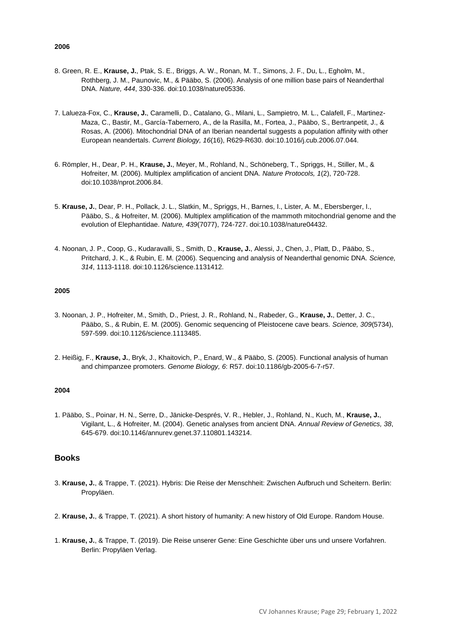- 8. Green, R. E., **Krause, J.**, Ptak, S. E., Briggs, A. W., Ronan, M. T., Simons, J. F., Du, L., Egholm, M., Rothberg, J. M., Paunovic, M., & Pääbo, S. (2006). Analysis of one million base pairs of Neanderthal DNA. *Nature, 444*, 330-336. doi:10.1038/nature05336.
- 7. Lalueza-Fox, C., **Krause, J.**, Caramelli, D., Catalano, G., Milani, L., Sampietro, M. L., Calafell, F., Martinez-Maza, C., Bastir, M., García-Tabernero, A., de la Rasilla, M., Fortea, J., Pääbo, S., Bertranpetit, J., & Rosas, A. (2006). Mitochondrial DNA of an Iberian neandertal suggests a population affinity with other European neandertals. *Current Biology, 16*(16), R629-R630. doi:10.1016/j.cub.2006.07.044.
- 6. Römpler, H., Dear, P. H., **Krause, J.**, Meyer, M., Rohland, N., Schöneberg, T., Spriggs, H., Stiller, M., & Hofreiter, M. (2006). Multiplex amplification of ancient DNA. *Nature Protocols, 1*(2), 720-728. doi:10.1038/nprot.2006.84.
- 5. **Krause, J.**, Dear, P. H., Pollack, J. L., Slatkin, M., Spriggs, H., Barnes, I., Lister, A. M., Ebersberger, I., Pääbo, S., & Hofreiter, M. (2006). Multiplex amplification of the mammoth mitochondrial genome and the evolution of Elephantidae. *Nature, 439*(7077), 724-727. doi:10.1038/nature04432.
- 4. Noonan, J. P., Coop, G., Kudaravalli, S., Smith, D., **Krause, J.**, Alessi, J., Chen, J., Platt, D., Pääbo, S., Pritchard, J. K., & Rubin, E. M. (2006). Sequencing and analysis of Neanderthal genomic DNA. *Science, 314*, 1113-1118. doi:10.1126/science.1131412.

#### **2005**

- 3. Noonan, J. P., Hofreiter, M., Smith, D., Priest, J. R., Rohland, N., Rabeder, G., **Krause, J.**, Detter, J. C., Pääbo, S., & Rubin, E. M. (2005). Genomic sequencing of Pleistocene cave bears. *Science, 309*(5734), 597-599. doi:10.1126/science.1113485.
- 2. Heißig, F., **Krause, J.**, Bryk, J., Khaitovich, P., Enard, W., & Pääbo, S. (2005). Functional analysis of human and chimpanzee promoters. *Genome Biology, 6*: R57. doi:10.1186/gb-2005-6-7-r57.

#### **2004**

1. Pääbo, S., Poinar, H. N., Serre, D., Jänicke-Després, V. R., Hebler, J., Rohland, N., Kuch, M., **Krause, J.**, Vigilant, L., & Hofreiter, M. (2004). Genetic analyses from ancient DNA. *Annual Review of Genetics, 38*, 645-679. doi:10.1146/annurev.genet.37.110801.143214.

### **Books**

- 3. **Krause, J.**, & Trappe, T. (2021). Hybris: Die Reise der Menschheit: Zwischen Aufbruch und Scheitern. Berlin: Propyläen.
- 2. **Krause, J.**, & Trappe, T. (2021). A short history of humanity: A new history of Old Europe. Random House.
- 1. **Krause, J.**, & Trappe, T. (2019). Die Reise unserer Gene: Eine Geschichte über uns und unsere Vorfahren. Berlin: Propyläen Verlag.